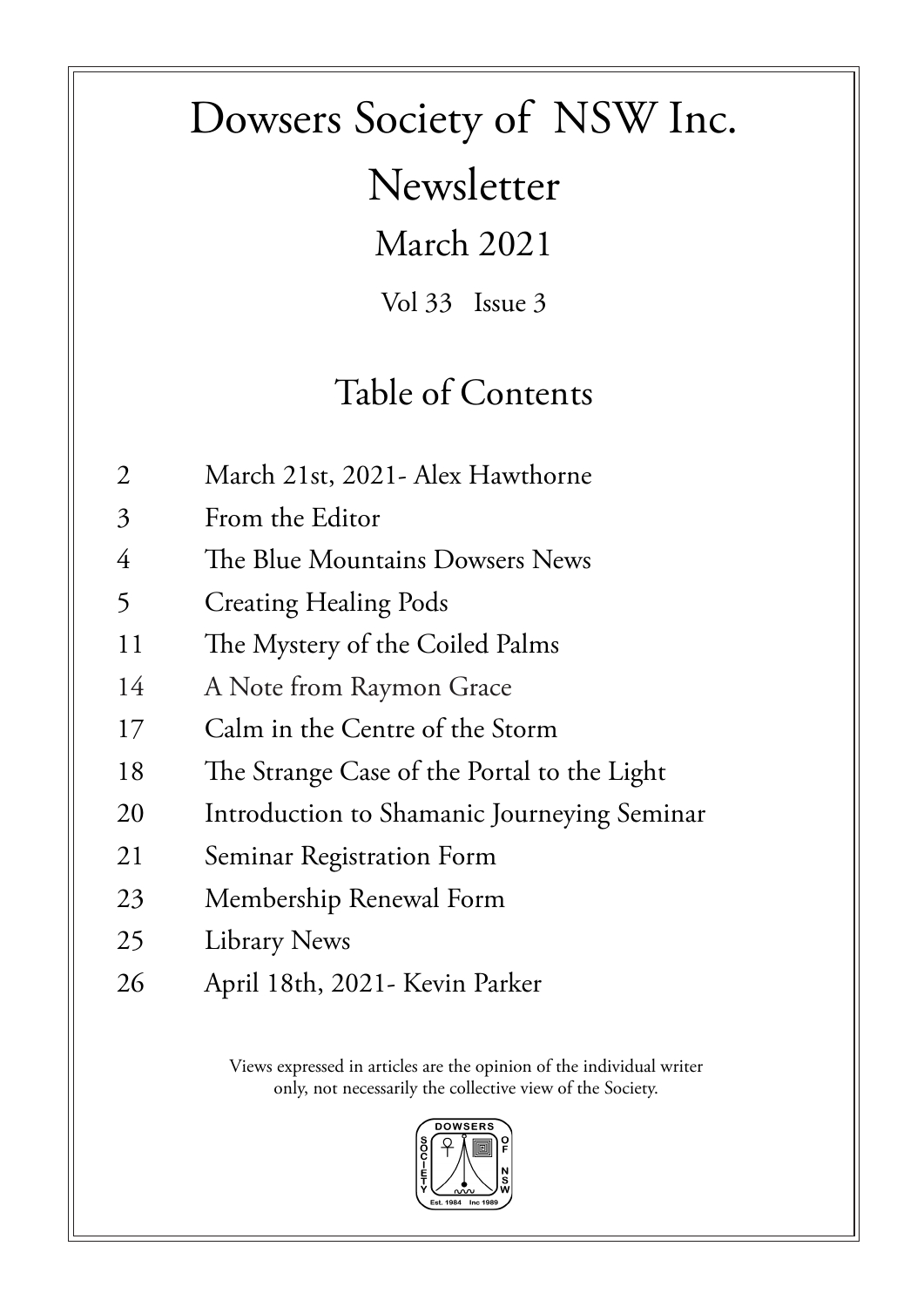# Dowsers Society of NSW Inc.

Newsletter

March 2021

Vol 33 Issue 3

### Table of Contents

- 2 March 21st, 2021- Alex Hawthorne
- 3 From the Editor
- 4 The Blue Mountains Dowsers News
- 5 Creating Healing Pods
- 11 The Mystery of the Coiled Palms
- 14 A Note from Raymon Grace
- 17 Calm in the Centre of the Storm
- 18 The Strange Case of the Portal to the Light
- 20 Introduction to Shamanic Journeying Seminar
- 21 Seminar Registration Form
- 23 Membership Renewal Form
- 25 Library News
- 26 April 18th, 2021- Kevin Parker

Views expressed in articles are the opinion of the individual writer only, not necessarily the collective view of the Society.

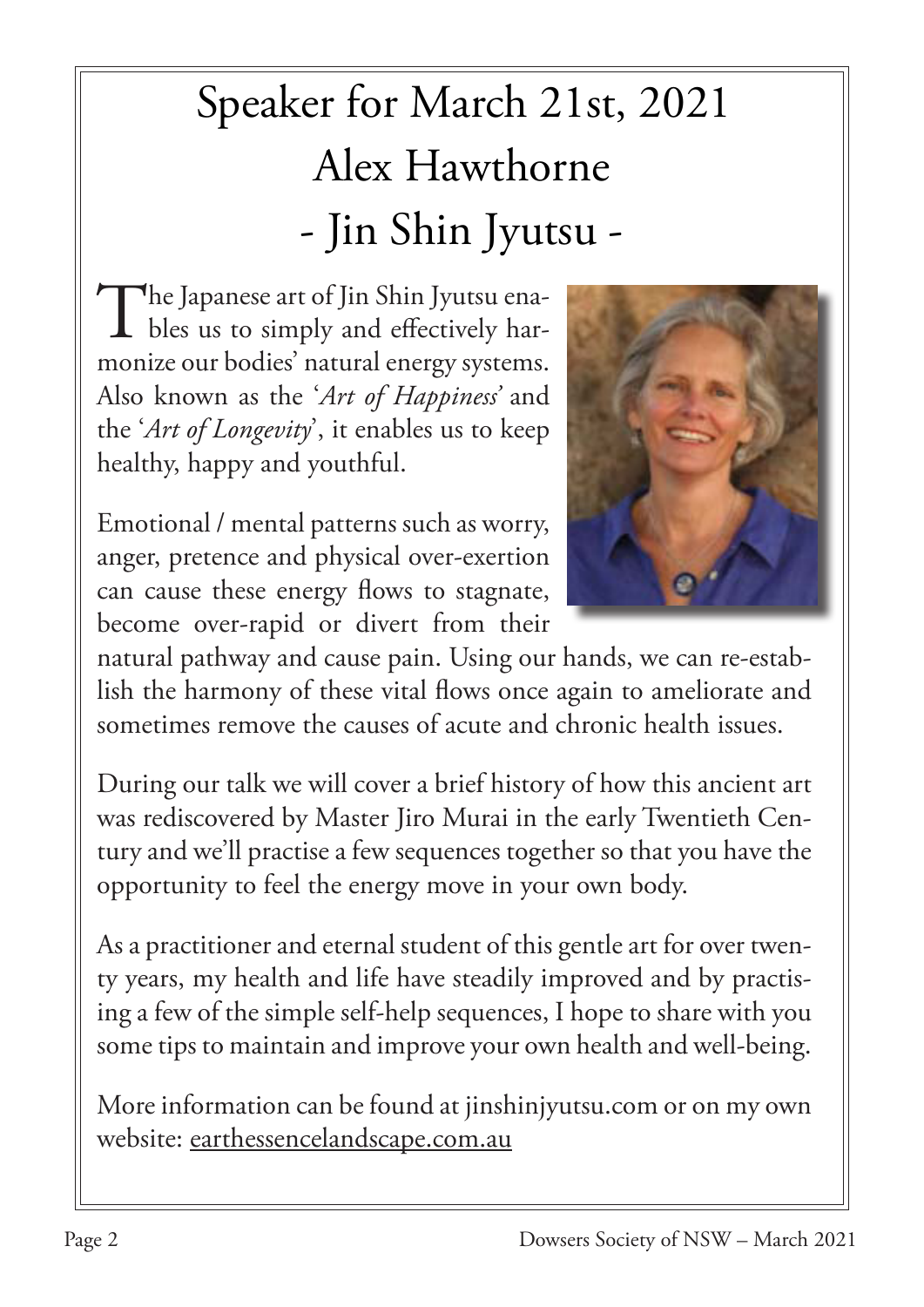# Speaker for March 21st, 2021 Alex Hawthorne - Jin Shin Jyutsu -

The Japanese art of Jin Shin Jyutsu enables us to simply and effectively harmonize our bodies' natural energy systems. Also known as the '*Art of Happiness'* and the '*Art of Longevity*', it enables us to keep healthy, happy and youthful.



Emotional / mental patterns such as worry, anger, pretence and physical over-exertion can cause these energy flows to stagnate, become over-rapid or divert from their

natural pathway and cause pain. Using our hands, we can re-establish the harmony of these vital flows once again to ameliorate and sometimes remove the causes of acute and chronic health issues.

During our talk we will cover a brief history of how this ancient art was rediscovered by Master Jiro Murai in the early Twentieth Century and we'll practise a few sequences together so that you have the opportunity to feel the energy move in your own body.

As a practitioner and eternal student of this gentle art for over twenty years, my health and life have steadily improved and by practising a few of the simple self-help sequences, I hope to share with you some tips to maintain and improve your own health and well-being.

More information can be found at jinshinjyutsu.com or on my own website: earthessencelandscape.com.au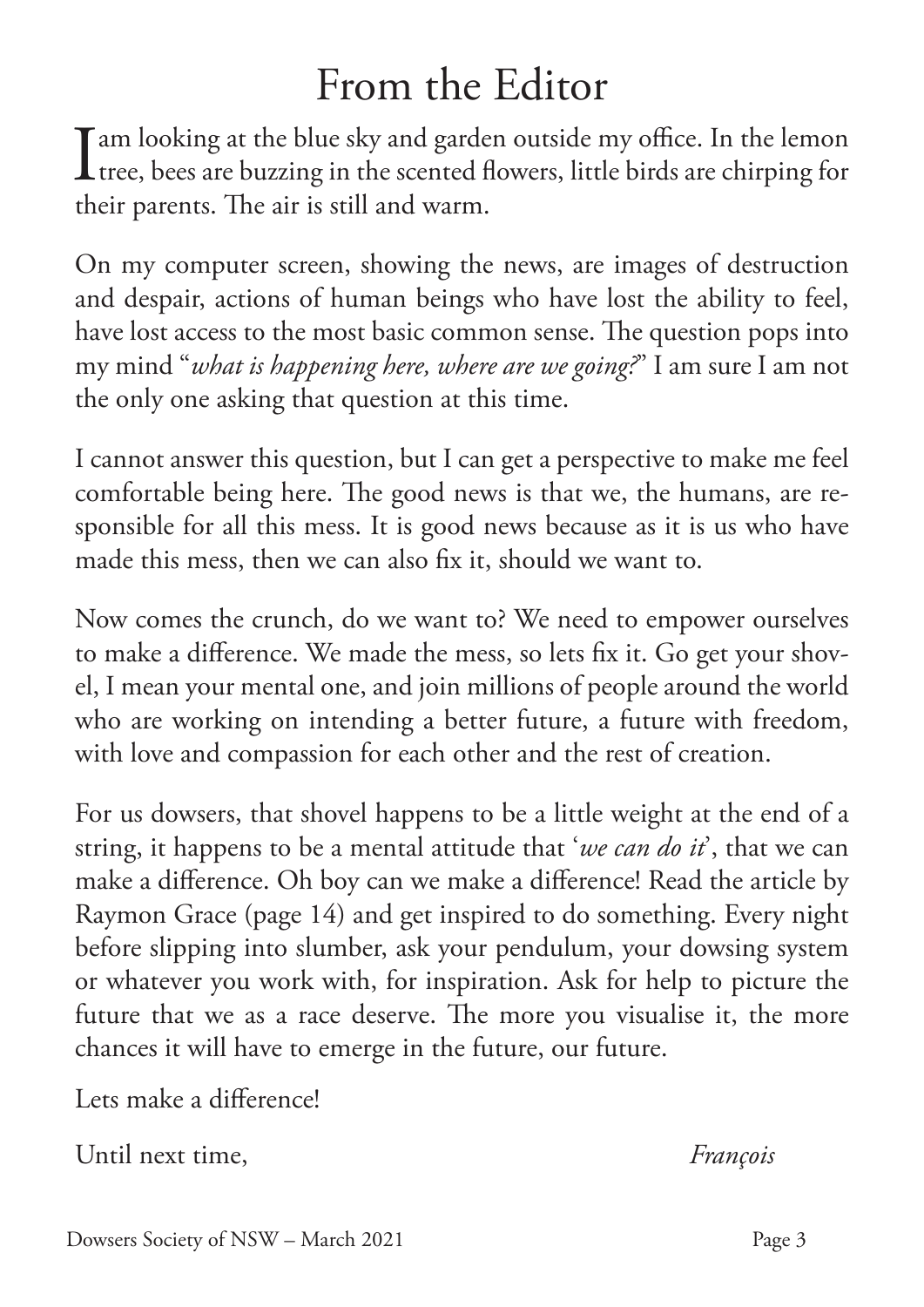### From the Editor

 $\prod$ am looking at the blue sky and garden outside my office. In the lemon<br>tree, bees are buzzing in the scented flowers, little birds are chirping for tree, bees are buzzing in the scented flowers, little birds are chirping for their parents. The air is still and warm.

On my computer screen, showing the news, are images of destruction and despair, actions of human beings who have lost the ability to feel, have lost access to the most basic common sense. The question pops into my mind "*what is happening here, where are we going?*" I am sure I am not the only one asking that question at this time.

I cannot answer this question, but I can get a perspective to make me feel comfortable being here. The good news is that we, the humans, are responsible for all this mess. It is good news because as it is us who have made this mess, then we can also fix it, should we want to.

Now comes the crunch, do we want to? We need to empower ourselves to make a difference. We made the mess, so lets fix it. Go get your shovel, I mean your mental one, and join millions of people around the world who are working on intending a better future, a future with freedom, with love and compassion for each other and the rest of creation.

For us dowsers, that shovel happens to be a little weight at the end of a string, it happens to be a mental attitude that '*we can do it*', that we can make a difference. Oh boy can we make a difference! Read the article by Raymon Grace (page 14) and get inspired to do something. Every night before slipping into slumber, ask your pendulum, your dowsing system or whatever you work with, for inspiration. Ask for help to picture the future that we as a race deserve. The more you visualise it, the more chances it will have to emerge in the future, our future.

Lets make a difference!

Until next time, *François*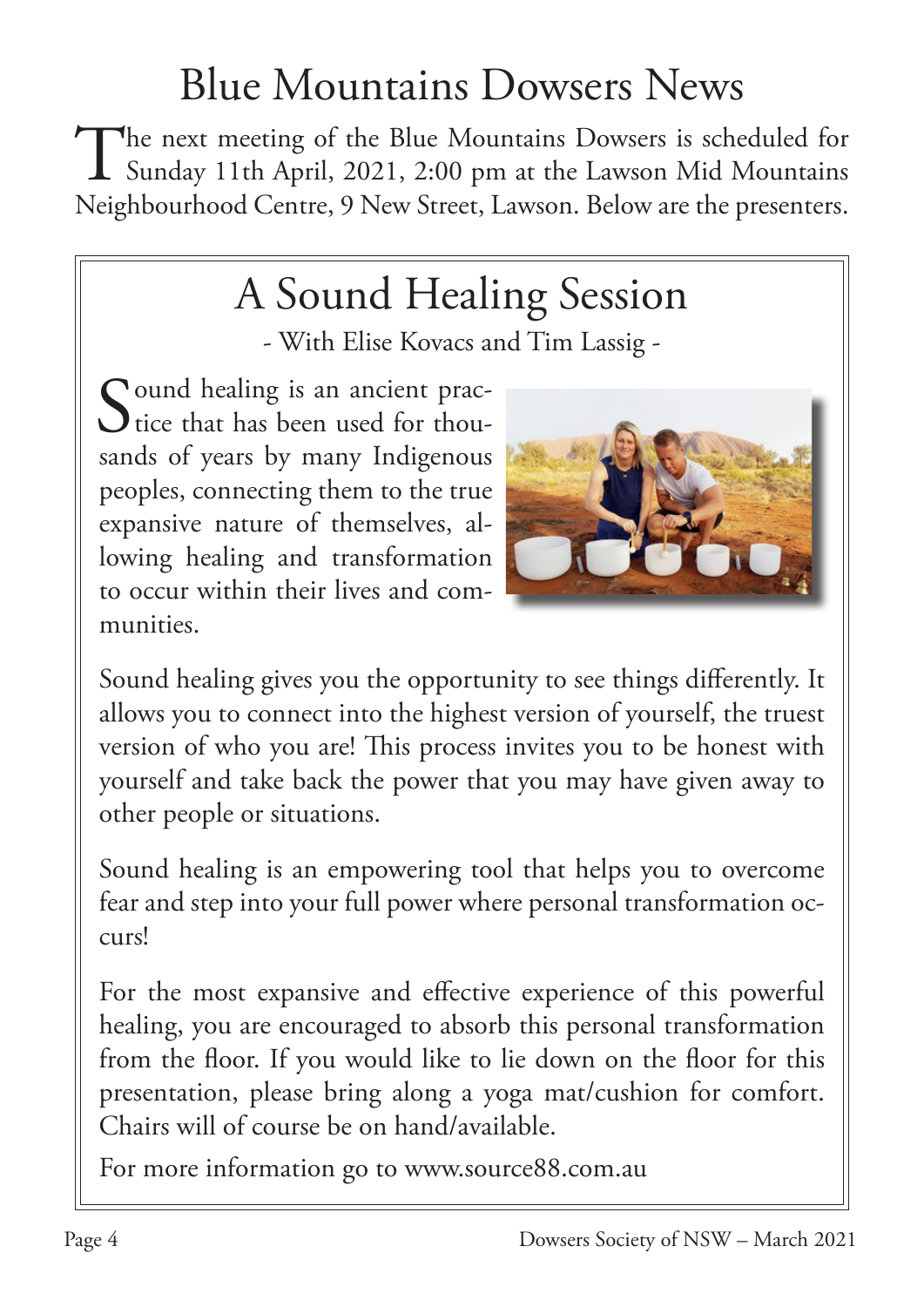## Blue Mountains Dowsers News

The next meeting of the Blue Mountains Dowsers is scheduled for<br>Sunday 11th April, 2021, 2:00 pm at the Lawson Mid Mountains Sunday 11th April, 2021, 2:00 pm at the Lawson Mid Mountains Neighbourhood Centre, 9 New Street, Lawson. Below are the presenters.

# A Sound Healing Session

- With Elise Kovacs and Tim Lassig -

Sound healing is an ancient prac-<br>tice that has been used for thou- $\bigcup$  tice that has been used for thousands of years by many Indigenous peoples, connecting them to the true expansive nature of themselves, allowing healing and transformation to occur within their lives and communities.



Sound healing gives you the opportunity to see things differently. It allows you to connect into the highest version of yourself, the truest version of who you are! This process invites you to be honest with yourself and take back the power that you may have given away to other people or situations.

Sound healing is an empowering tool that helps you to overcome fear and step into your full power where personal transformation occurs!

For the most expansive and effective experience of this powerful healing, you are encouraged to absorb this personal transformation from the floor. If you would like to lie down on the floor for this presentation, please bring along a yoga mat/cushion for comfort. Chairs will of course be on hand/available.

For more information go to www.source88.com.au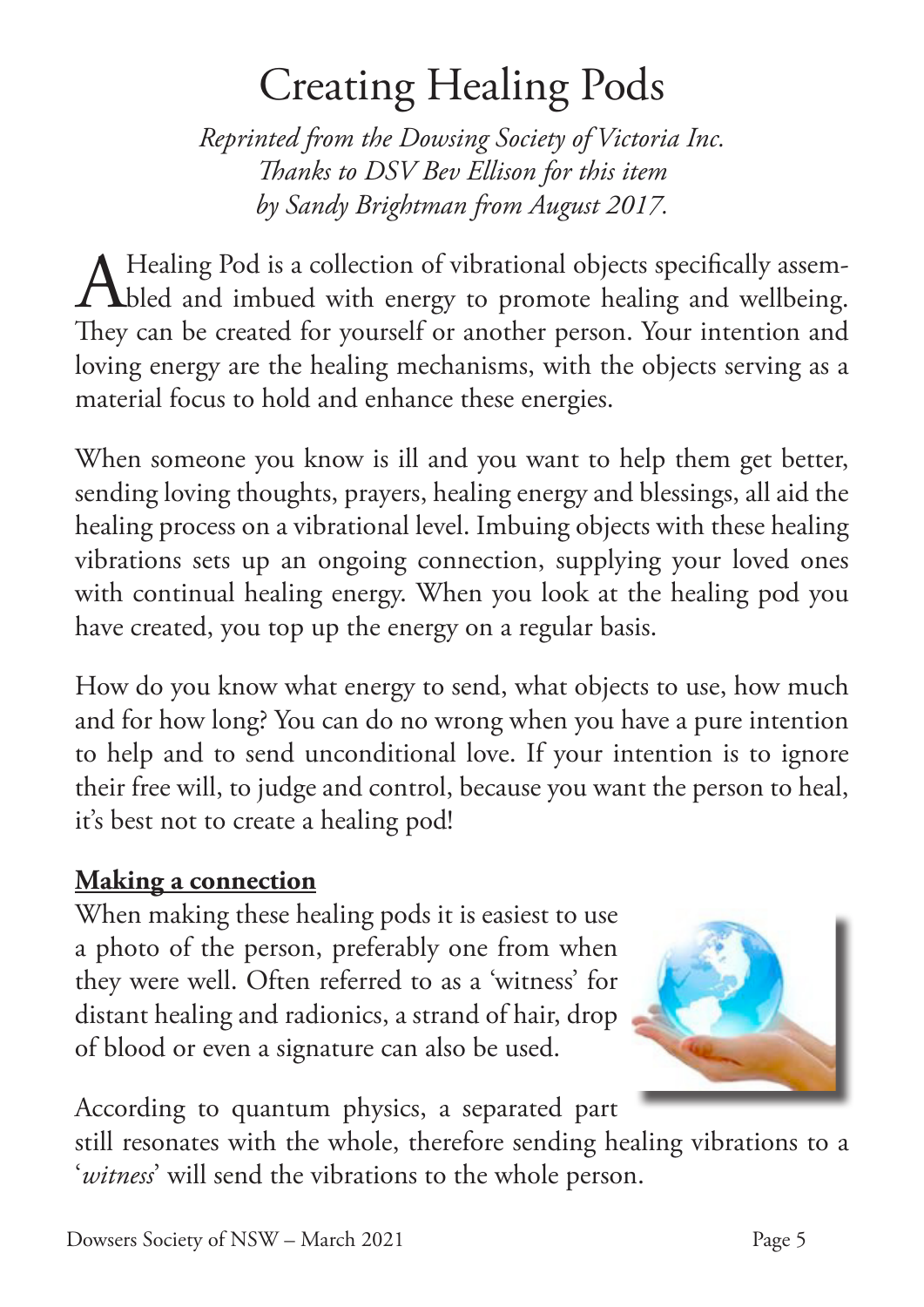# Creating Healing Pods

*Reprinted from the Dowsing Society of Victoria Inc. Thanks to DSV Bev Ellison for this item by Sandy Brightman from August 2017.*

A Healing Pod is a collection of vibrational objects specifically assem-Thled and imbued with energy to promote healing and wellbeing. They can be created for yourself or another person. Your intention and loving energy are the healing mechanisms, with the objects serving as a material focus to hold and enhance these energies.

When someone you know is ill and you want to help them get better, sending loving thoughts, prayers, healing energy and blessings, all aid the healing process on a vibrational level. Imbuing objects with these healing vibrations sets up an ongoing connection, supplying your loved ones with continual healing energy. When you look at the healing pod you have created, you top up the energy on a regular basis.

How do you know what energy to send, what objects to use, how much and for how long? You can do no wrong when you have a pure intention to help and to send unconditional love. If your intention is to ignore their free will, to judge and control, because you want the person to heal, it's best not to create a healing pod!

### **Making a connection**

When making these healing pods it is easiest to use a photo of the person, preferably one from when they were well. Often referred to as a 'witness' for distant healing and radionics, a strand of hair, drop of blood or even a signature can also be used.



According to quantum physics, a separated part

still resonates with the whole, therefore sending healing vibrations to a '*witness*' will send the vibrations to the whole person.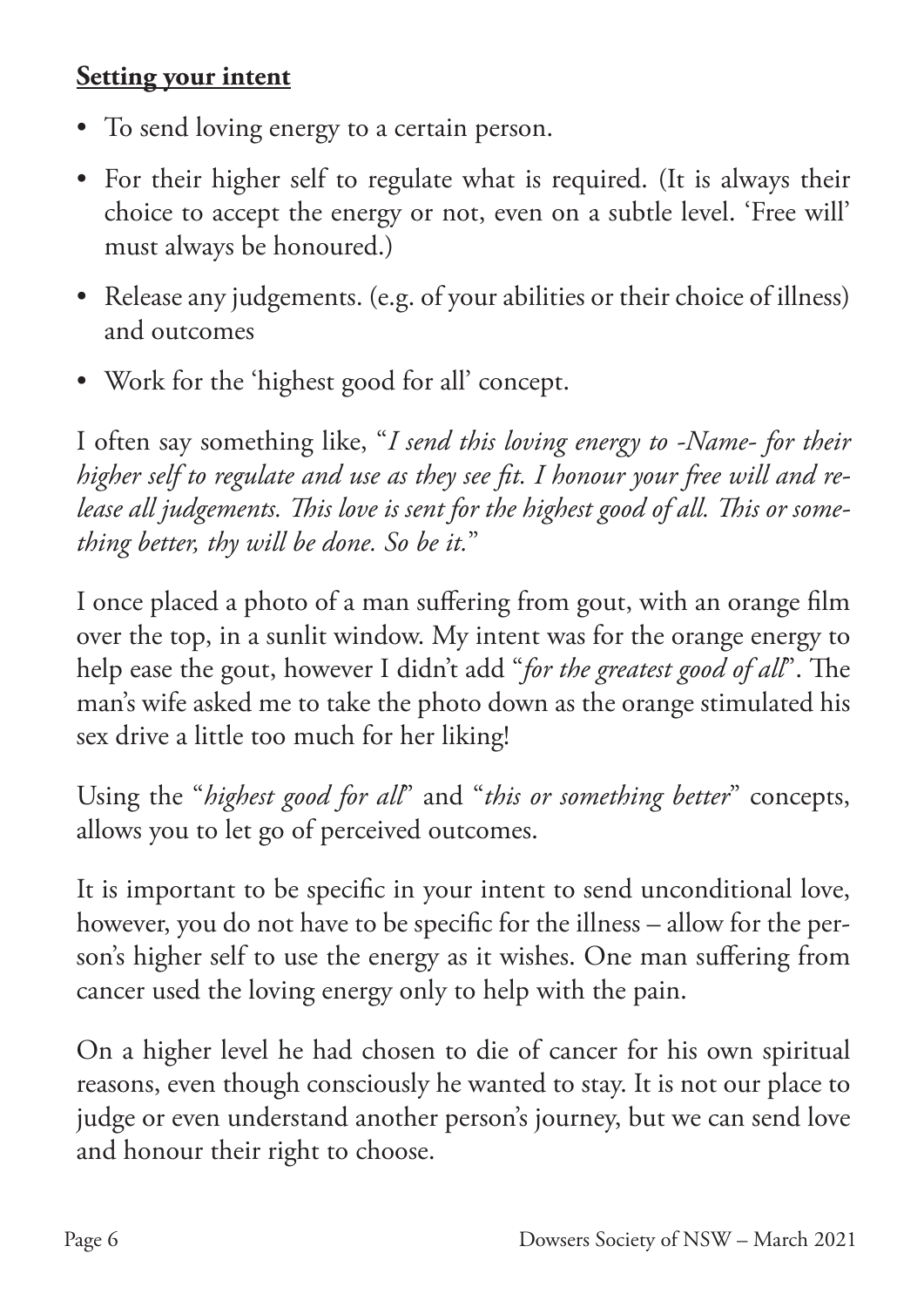### **Setting your intent**

- To send loving energy to a certain person.
- For their higher self to regulate what is required. (It is always their choice to accept the energy or not, even on a subtle level. 'Free will' must always be honoured.)
- Release any judgements. (e.g. of your abilities or their choice of illness) and outcomes
- Work for the 'highest good for all' concept.

I often say something like, "*I send this loving energy to -Name- for their higher self to regulate and use as they see fit. I honour your free will and release all judgements. This love is sent for the highest good of all. This or something better, thy will be done. So be it.*"

I once placed a photo of a man suffering from gout, with an orange film over the top, in a sunlit window. My intent was for the orange energy to help ease the gout, however I didn't add "*for the greatest good of all*". The man's wife asked me to take the photo down as the orange stimulated his sex drive a little too much for her liking!

Using the "*highest good for all*" and "*this or something better*" concepts, allows you to let go of perceived outcomes.

It is important to be specific in your intent to send unconditional love, however, you do not have to be specific for the illness – allow for the person's higher self to use the energy as it wishes. One man suffering from cancer used the loving energy only to help with the pain.

On a higher level he had chosen to die of cancer for his own spiritual reasons, even though consciously he wanted to stay. It is not our place to judge or even understand another person's journey, but we can send love and honour their right to choose.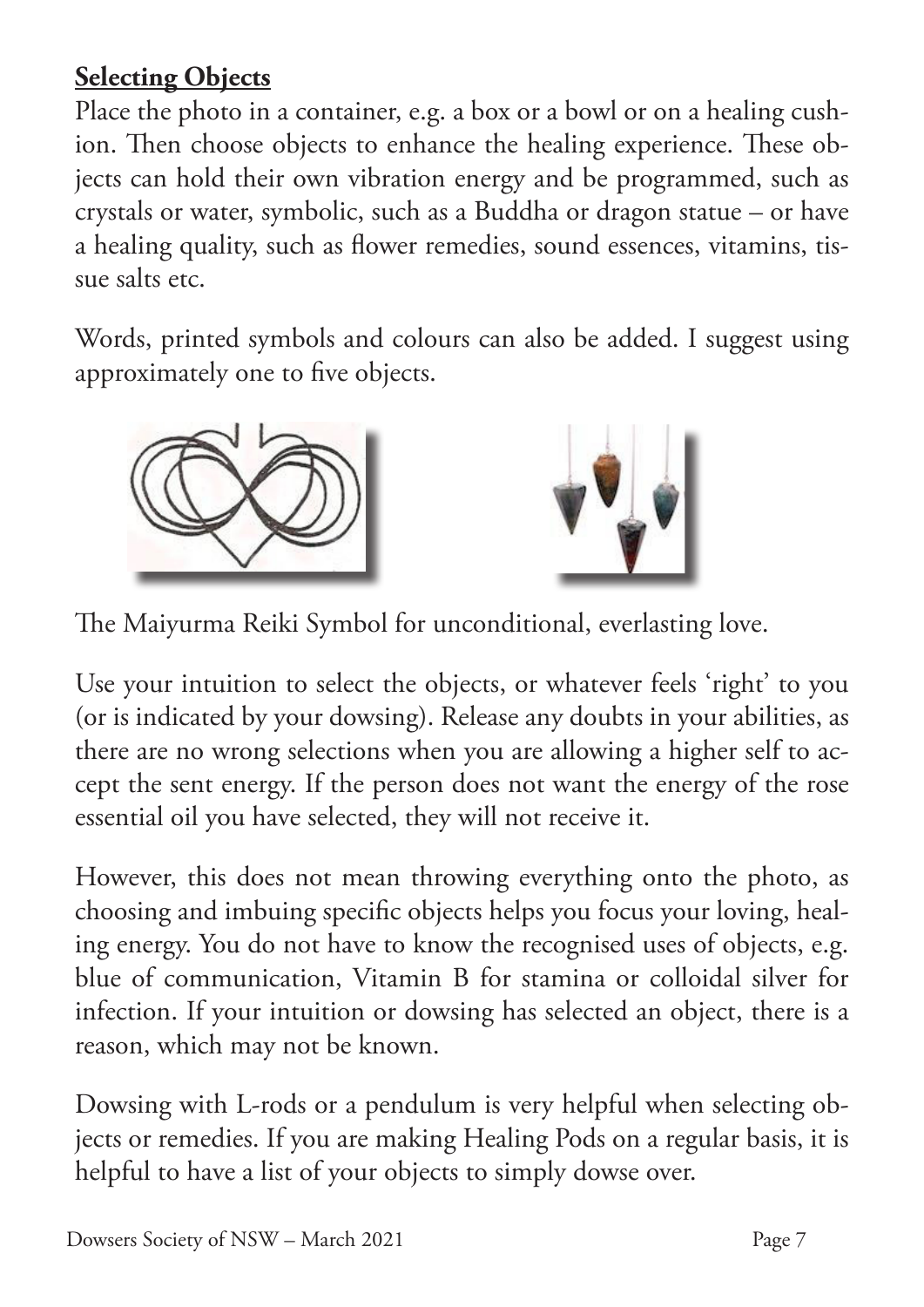### **Selecting Objects**

Place the photo in a container, e.g. a box or a bowl or on a healing cushion. Then choose objects to enhance the healing experience. These objects can hold their own vibration energy and be programmed, such as crystals or water, symbolic, such as a Buddha or dragon statue – or have a healing quality, such as flower remedies, sound essences, vitamins, tissue salts etc.

Words, printed symbols and colours can also be added. I suggest using approximately one to five objects.





The Maiyurma Reiki Symbol for unconditional, everlasting love.

Use your intuition to select the objects, or whatever feels 'right' to you (or is indicated by your dowsing). Release any doubts in your abilities, as there are no wrong selections when you are allowing a higher self to accept the sent energy. If the person does not want the energy of the rose essential oil you have selected, they will not receive it.

However, this does not mean throwing everything onto the photo, as choosing and imbuing specific objects helps you focus your loving, healing energy. You do not have to know the recognised uses of objects, e.g. blue of communication, Vitamin B for stamina or colloidal silver for infection. If your intuition or dowsing has selected an object, there is a reason, which may not be known.

Dowsing with L-rods or a pendulum is very helpful when selecting objects or remedies. If you are making Healing Pods on a regular basis, it is helpful to have a list of your objects to simply dowse over.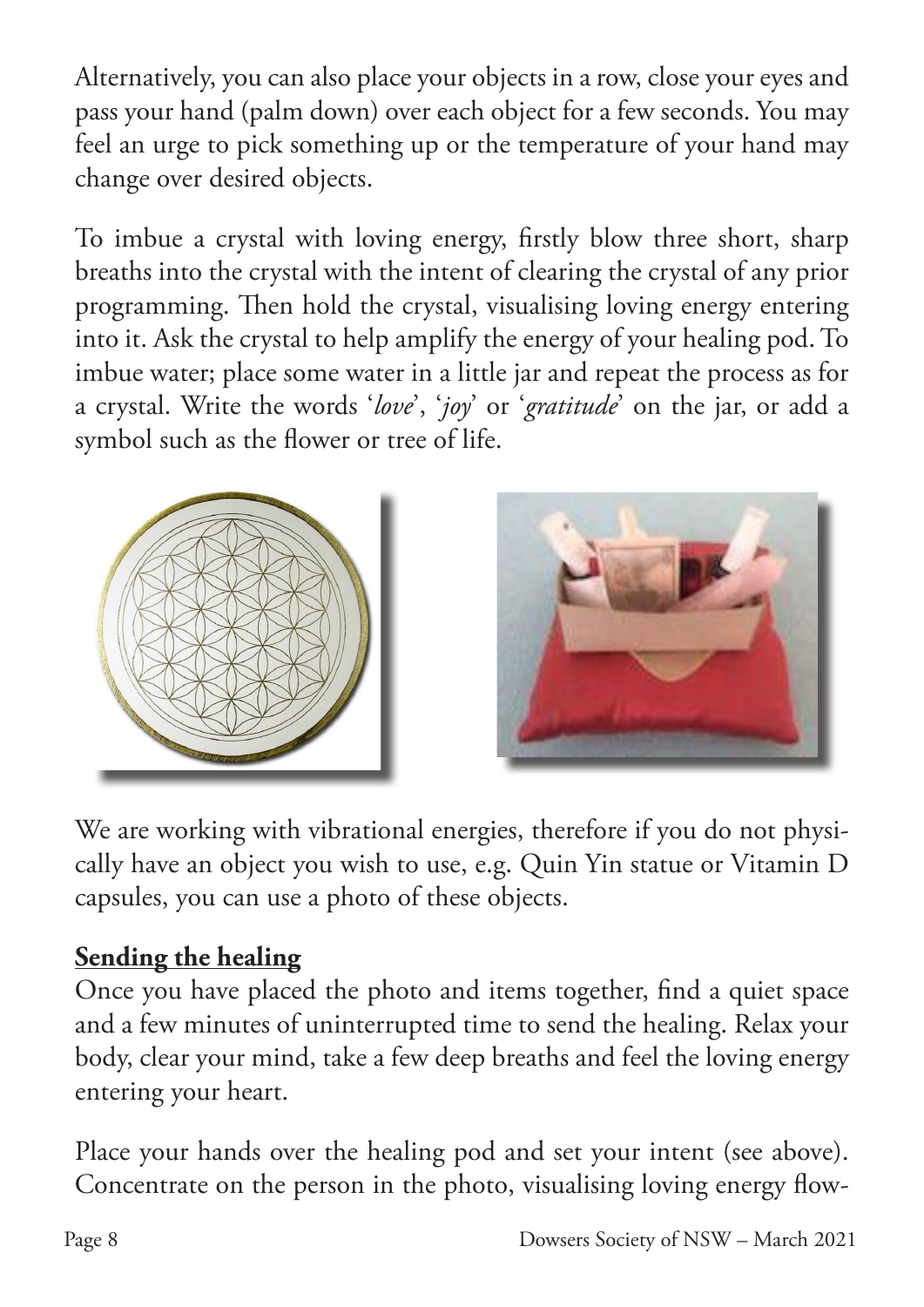Alternatively, you can also place your objects in a row, close your eyes and pass your hand (palm down) over each object for a few seconds. You may feel an urge to pick something up or the temperature of your hand may change over desired objects.

To imbue a crystal with loving energy, firstly blow three short, sharp breaths into the crystal with the intent of clearing the crystal of any prior programming. Then hold the crystal, visualising loving energy entering into it. Ask the crystal to help amplify the energy of your healing pod. To imbue water; place some water in a little jar and repeat the process as for a crystal. Write the words '*love*', '*joy*' or '*gratitude*' on the jar, or add a symbol such as the flower or tree of life.





We are working with vibrational energies, therefore if you do not physically have an object you wish to use, e.g. Quin Yin statue or Vitamin D capsules, you can use a photo of these objects.

### **Sending the healing**

Once you have placed the photo and items together, find a quiet space and a few minutes of uninterrupted time to send the healing. Relax your body, clear your mind, take a few deep breaths and feel the loving energy entering your heart.

Place your hands over the healing pod and set your intent (see above). Concentrate on the person in the photo, visualising loving energy flow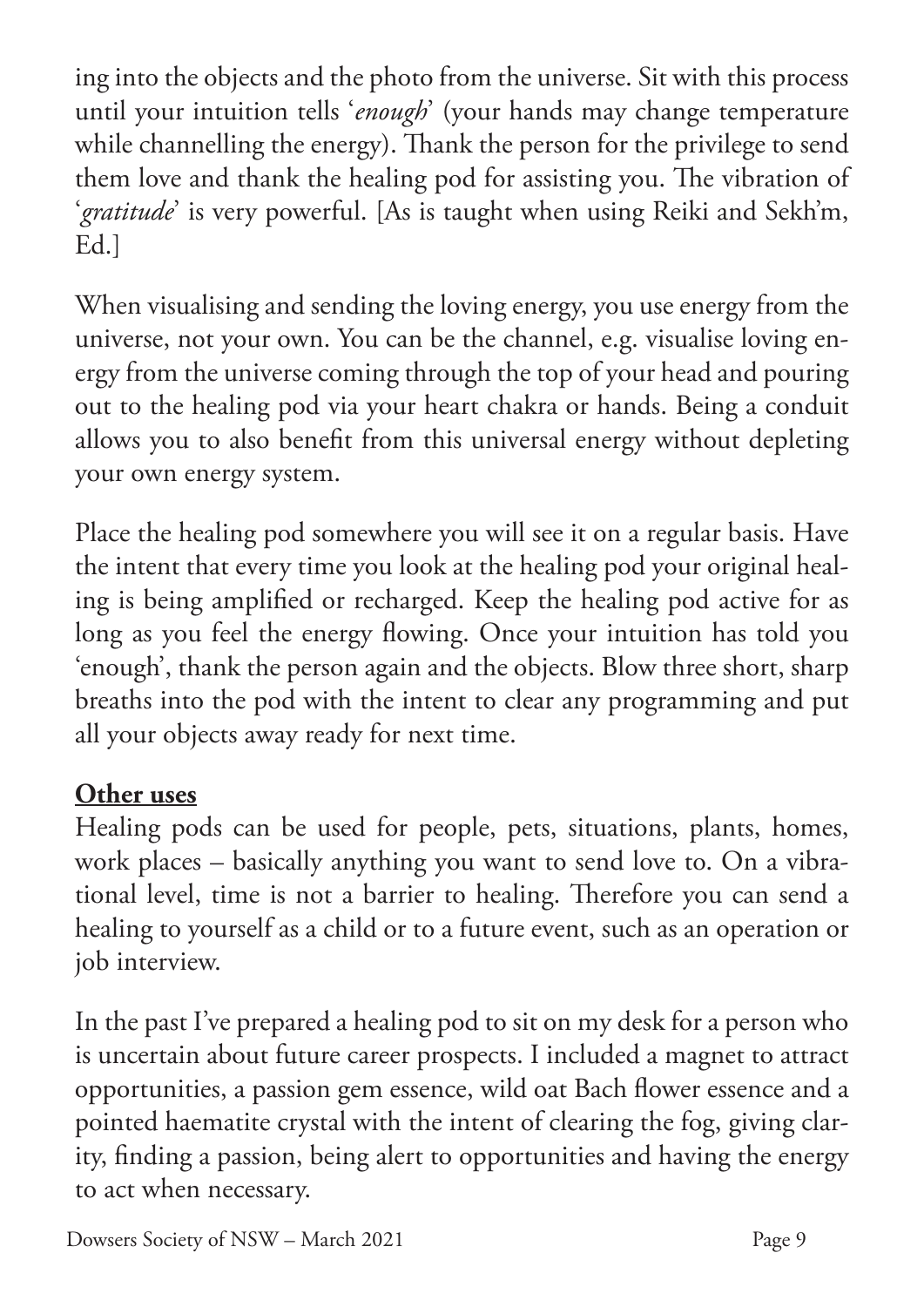ing into the objects and the photo from the universe. Sit with this process until your intuition tells '*enough*' (your hands may change temperature while channelling the energy). Thank the person for the privilege to send them love and thank the healing pod for assisting you. The vibration of '*gratitude*' is very powerful. [As is taught when using Reiki and Sekh'm, Ed.]

When visualising and sending the loving energy, you use energy from the universe, not your own. You can be the channel, e.g. visualise loving energy from the universe coming through the top of your head and pouring out to the healing pod via your heart chakra or hands. Being a conduit allows you to also benefit from this universal energy without depleting your own energy system.

Place the healing pod somewhere you will see it on a regular basis. Have the intent that every time you look at the healing pod your original healing is being amplified or recharged. Keep the healing pod active for as long as you feel the energy flowing. Once your intuition has told you 'enough', thank the person again and the objects. Blow three short, sharp breaths into the pod with the intent to clear any programming and put all your objects away ready for next time.

### **Other uses**

Healing pods can be used for people, pets, situations, plants, homes, work places – basically anything you want to send love to. On a vibrational level, time is not a barrier to healing. Therefore you can send a healing to yourself as a child or to a future event, such as an operation or job interview.

In the past I've prepared a healing pod to sit on my desk for a person who is uncertain about future career prospects. I included a magnet to attract opportunities, a passion gem essence, wild oat Bach flower essence and a pointed haematite crystal with the intent of clearing the fog, giving clarity, finding a passion, being alert to opportunities and having the energy to act when necessary.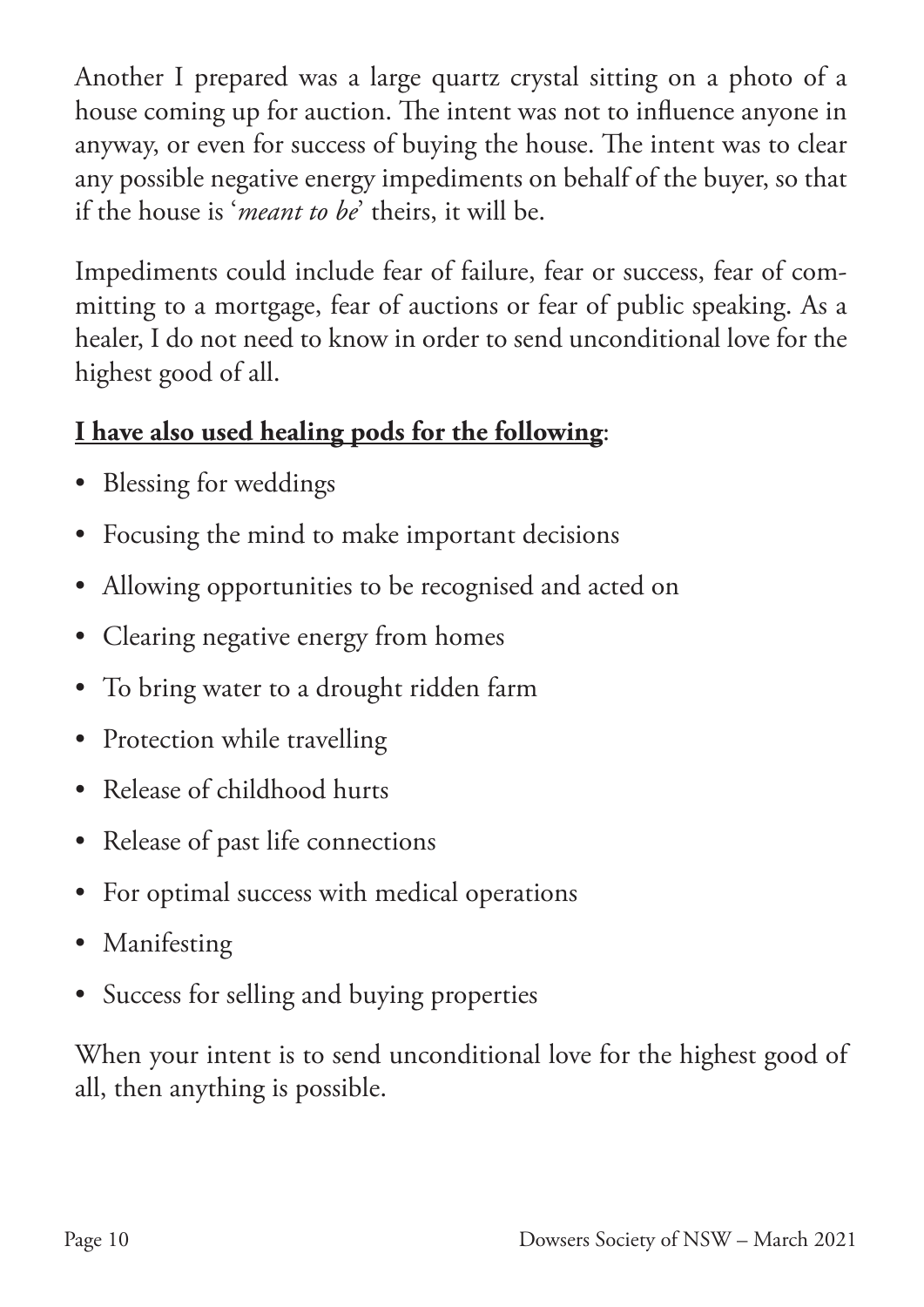Another I prepared was a large quartz crystal sitting on a photo of a house coming up for auction. The intent was not to influence anyone in anyway, or even for success of buying the house. The intent was to clear any possible negative energy impediments on behalf of the buyer, so that if the house is '*meant to be*' theirs, it will be.

Impediments could include fear of failure, fear or success, fear of committing to a mortgage, fear of auctions or fear of public speaking. As a healer, I do not need to know in order to send unconditional love for the highest good of all.

### **I have also used healing pods for the following**:

- Blessing for weddings
- Focusing the mind to make important decisions
- Allowing opportunities to be recognised and acted on
- Clearing negative energy from homes
- To bring water to a drought ridden farm
- Protection while travelling
- Release of childhood hurts
- Release of past life connections
- For optimal success with medical operations
- Manifesting
- Success for selling and buying properties

When your intent is to send unconditional love for the highest good of all, then anything is possible.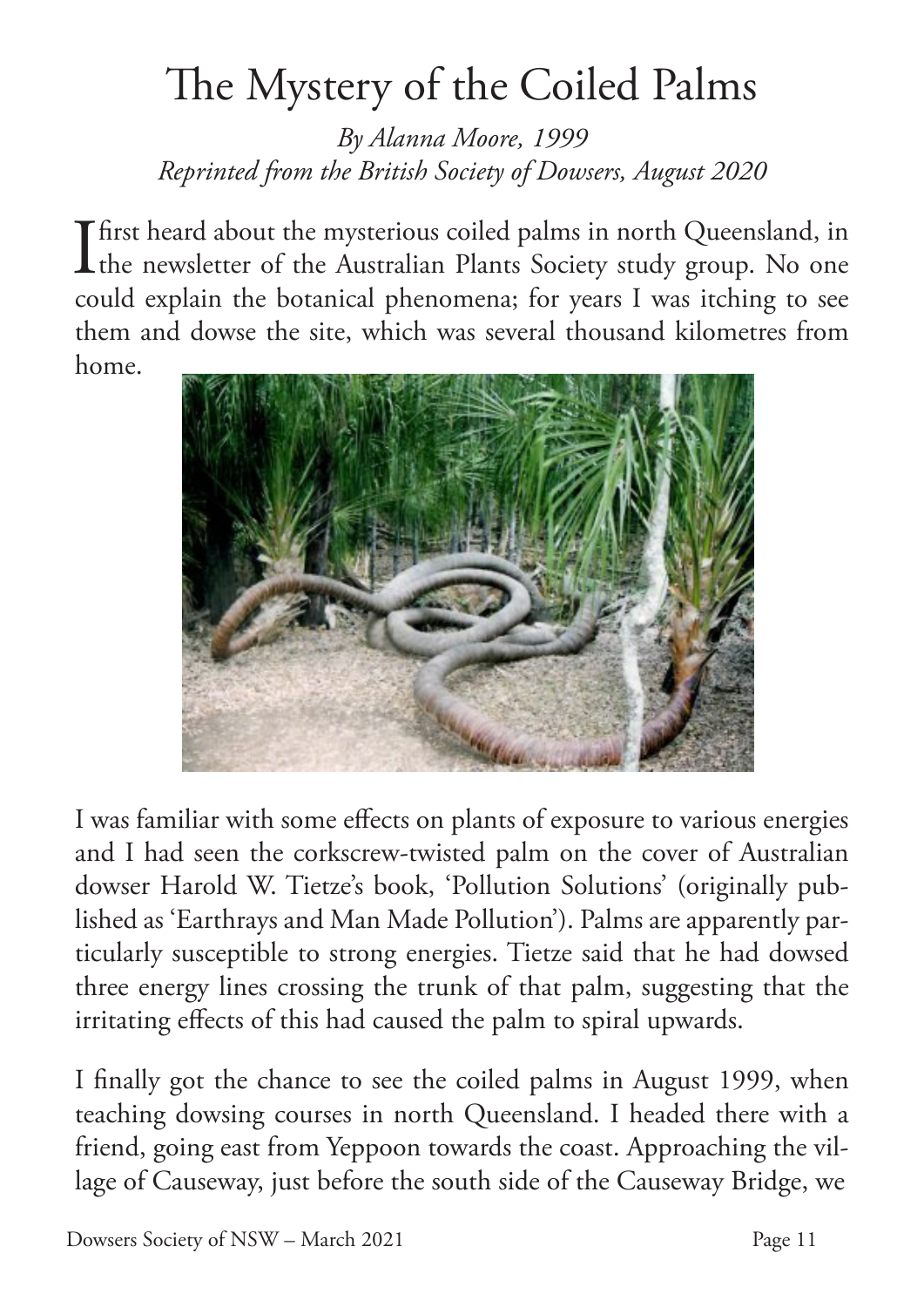# The Mystery of the Coiled Palms

*By Alanna Moore, 1999 Reprinted from the British Society of Dowsers, August 2020*

**I** first heard about the mysterious coiled palms in north Queensland, in the newsletter of the Australian Plants Society study group. No one the newsletter of the Australian Plants Society study group. No one could explain the botanical phenomena; for years I was itching to see them and dowse the site, which was several thousand kilometres from home.



I was familiar with some effects on plants of exposure to various energies and I had seen the corkscrew-twisted palm on the cover of Australian dowser Harold W. Tietze's book, 'Pollution Solutions' (originally published as 'Earthrays and Man Made Pollution'). Palms are apparently particularly susceptible to strong energies. Tietze said that he had dowsed three energy lines crossing the trunk of that palm, suggesting that the irritating effects of this had caused the palm to spiral upwards.

I finally got the chance to see the coiled palms in August 1999, when teaching dowsing courses in north Queensland. I headed there with a friend, going east from Yeppoon towards the coast. Approaching the village of Causeway, just before the south side of the Causeway Bridge, we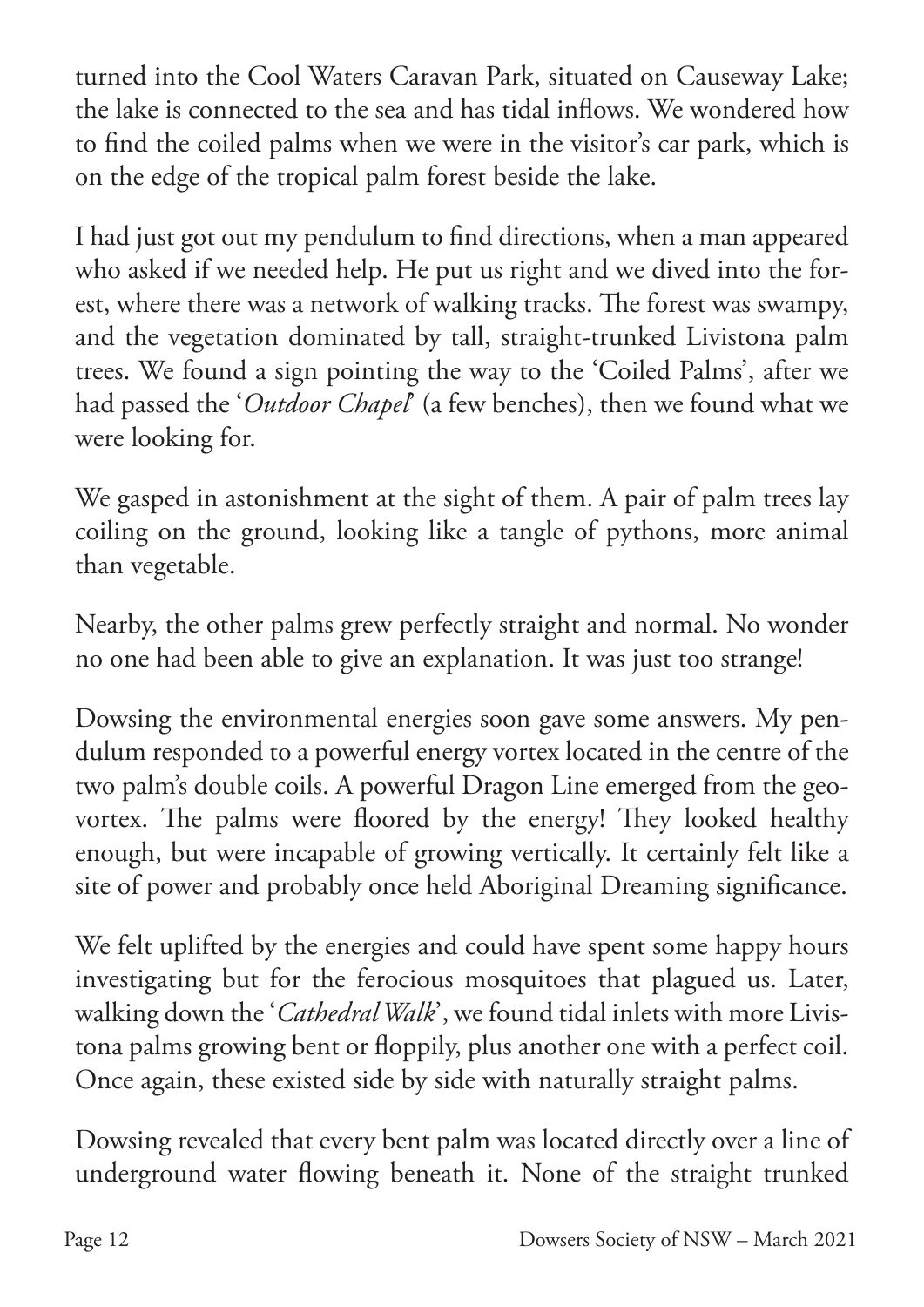turned into the Cool Waters Caravan Park, situated on Causeway Lake; the lake is connected to the sea and has tidal inflows. We wondered how to find the coiled palms when we were in the visitor's car park, which is on the edge of the tropical palm forest beside the lake.

I had just got out my pendulum to find directions, when a man appeared who asked if we needed help. He put us right and we dived into the forest, where there was a network of walking tracks. The forest was swampy, and the vegetation dominated by tall, straight-trunked Livistona palm trees. We found a sign pointing the way to the 'Coiled Palms', after we had passed the '*Outdoor Chapel*' (a few benches), then we found what we were looking for.

We gasped in astonishment at the sight of them. A pair of palm trees lay coiling on the ground, looking like a tangle of pythons, more animal than vegetable.

Nearby, the other palms grew perfectly straight and normal. No wonder no one had been able to give an explanation. It was just too strange!

Dowsing the environmental energies soon gave some answers. My pendulum responded to a powerful energy vortex located in the centre of the two palm's double coils. A powerful Dragon Line emerged from the geovortex. The palms were floored by the energy! They looked healthy enough, but were incapable of growing vertically. It certainly felt like a site of power and probably once held Aboriginal Dreaming significance.

We felt uplifted by the energies and could have spent some happy hours investigating but for the ferocious mosquitoes that plagued us. Later, walking down the '*Cathedral Walk*', we found tidal inlets with more Livistona palms growing bent or floppily, plus another one with a perfect coil. Once again, these existed side by side with naturally straight palms.

Dowsing revealed that every bent palm was located directly over a line of underground water flowing beneath it. None of the straight trunked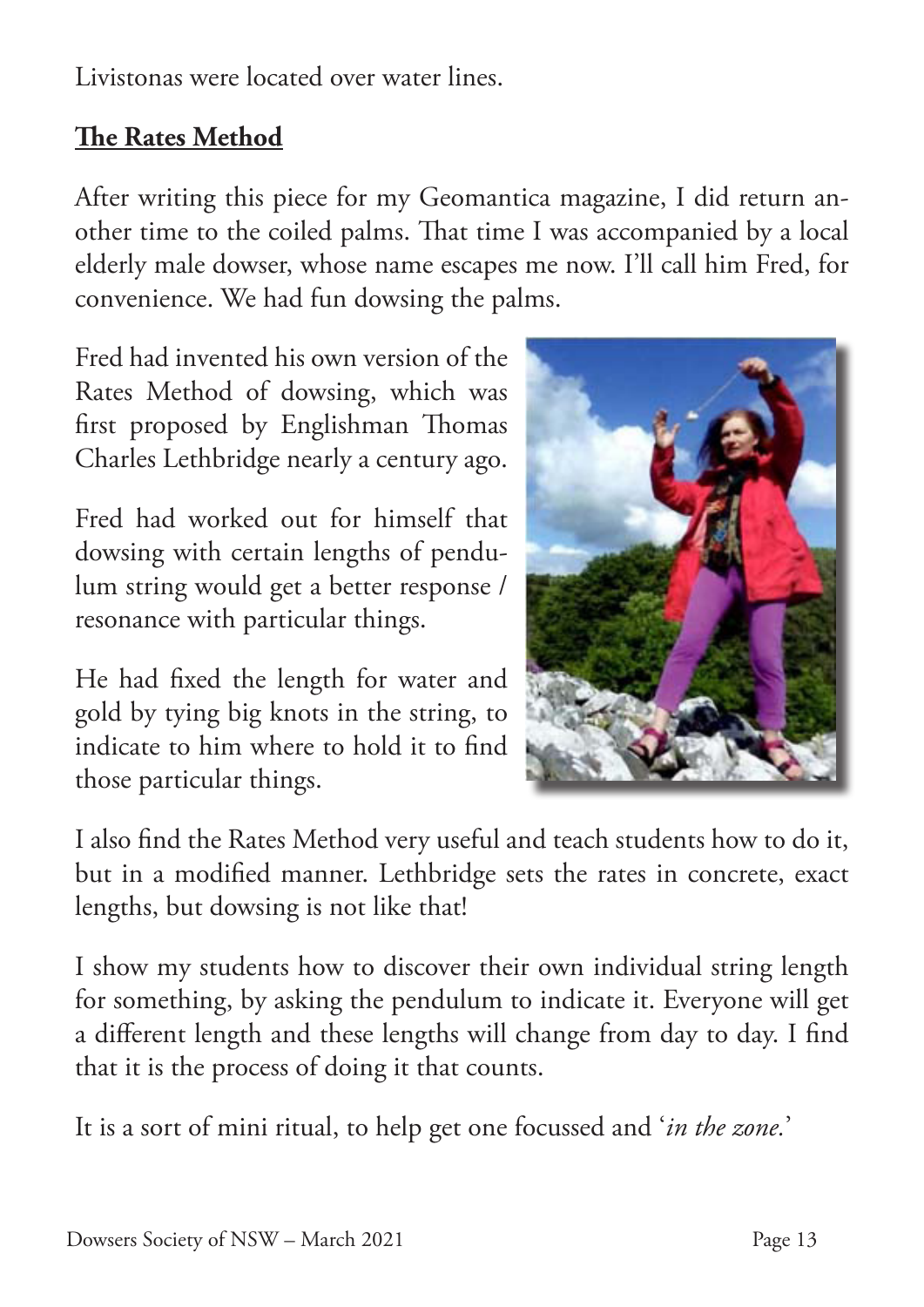Livistonas were located over water lines.

### **The Rates Method**

After writing this piece for my Geomantica magazine, I did return another time to the coiled palms. That time I was accompanied by a local elderly male dowser, whose name escapes me now. I'll call him Fred, for convenience. We had fun dowsing the palms.

Fred had invented his own version of the Rates Method of dowsing, which was first proposed by Englishman Thomas Charles Lethbridge nearly a century ago.

Fred had worked out for himself that dowsing with certain lengths of pendulum string would get a better response / resonance with particular things.

He had fixed the length for water and gold by tying big knots in the string, to indicate to him where to hold it to find those particular things.



I also find the Rates Method very useful and teach students how to do it, but in a modified manner. Lethbridge sets the rates in concrete, exact lengths, but dowsing is not like that!

I show my students how to discover their own individual string length for something, by asking the pendulum to indicate it. Everyone will get a different length and these lengths will change from day to day. I find that it is the process of doing it that counts.

It is a sort of mini ritual, to help get one focussed and '*in the zone.*'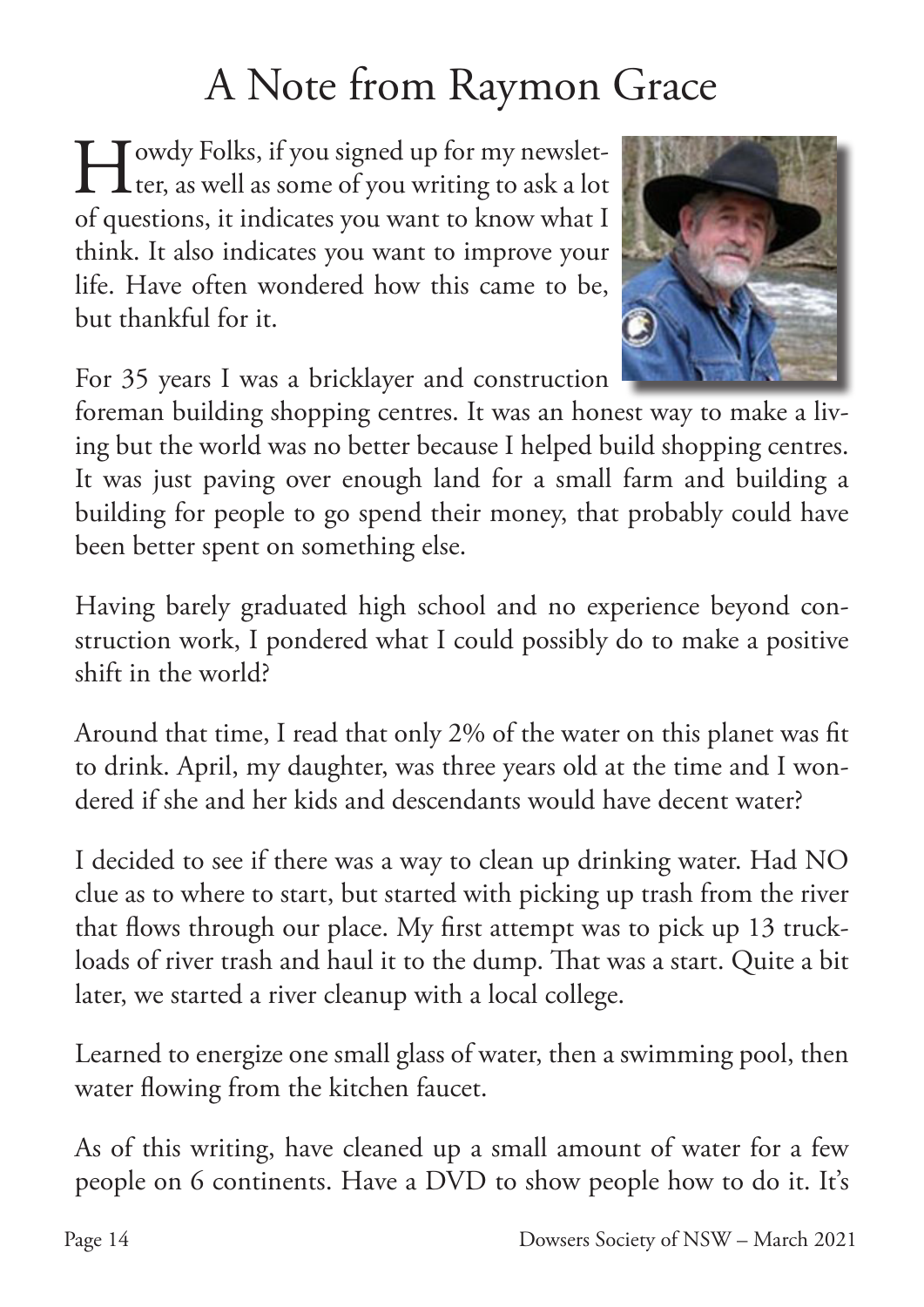# A Note from Raymon Grace

Howdy Folks, if you signed up for my newslet-<br>ter, as well as some of you writing to ask a lot ter, as well as some of you writing to ask a lot of questions, it indicates you want to know what I think. It also indicates you want to improve your life. Have often wondered how this came to be, but thankful for it.

For 35 years I was a bricklayer and construction

foreman building shopping centres. It was an honest way to make a living but the world was no better because I helped build shopping centres. It was just paving over enough land for a small farm and building a building for people to go spend their money, that probably could have been better spent on something else.

Having barely graduated high school and no experience beyond construction work, I pondered what I could possibly do to make a positive shift in the world?

Around that time, I read that only 2% of the water on this planet was fit to drink. April, my daughter, was three years old at the time and I wondered if she and her kids and descendants would have decent water?

I decided to see if there was a way to clean up drinking water. Had NO clue as to where to start, but started with picking up trash from the river that flows through our place. My first attempt was to pick up 13 truckloads of river trash and haul it to the dump. That was a start. Quite a bit later, we started a river cleanup with a local college.

Learned to energize one small glass of water, then a swimming pool, then water flowing from the kitchen faucet.

As of this writing, have cleaned up a small amount of water for a few people on 6 continents. Have a DVD to show people how to do it. It's

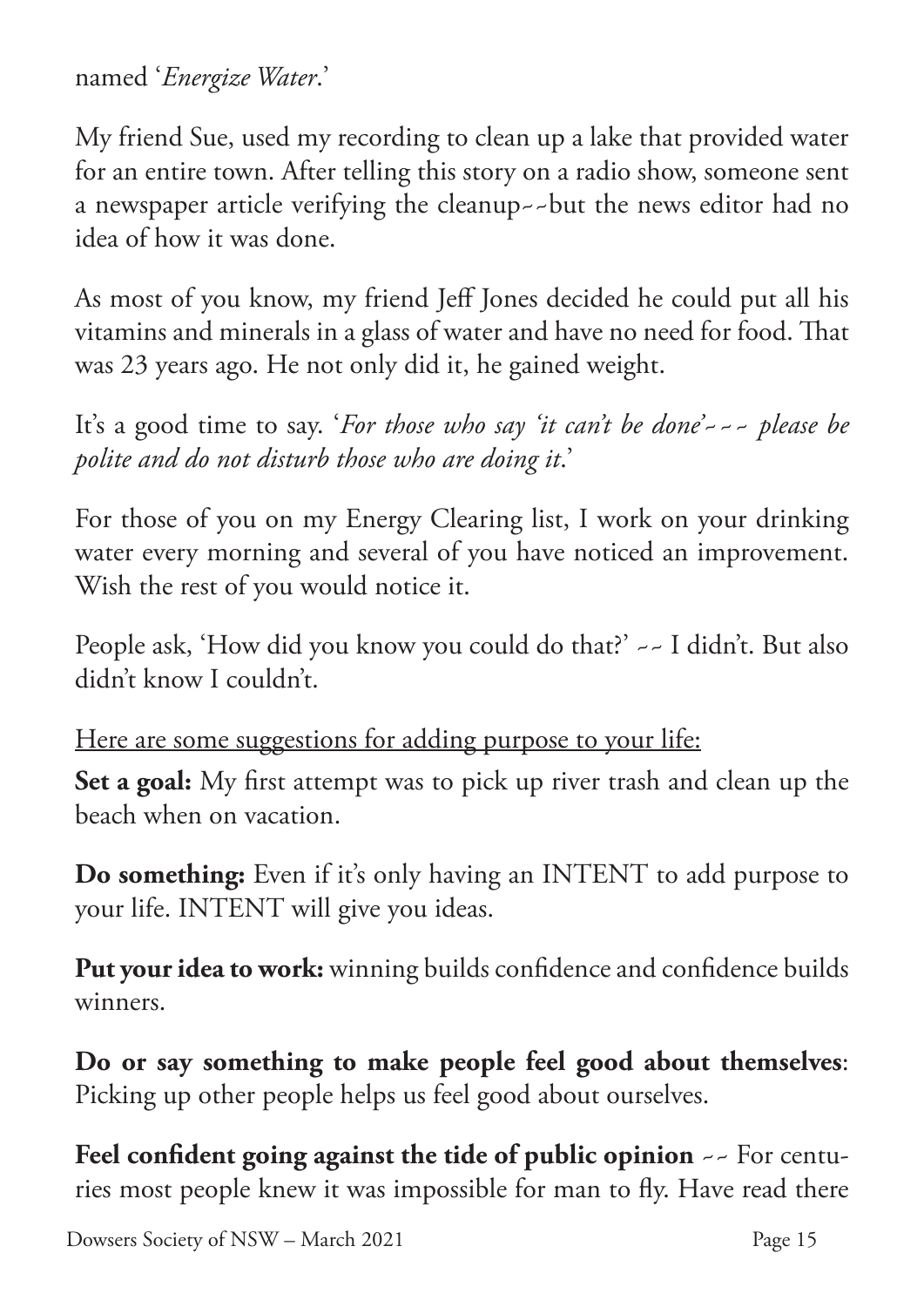named '*Energize Water*.'

My friend Sue, used my recording to clean up a lake that provided water for an entire town. After telling this story on a radio show, someone sent a newspaper article verifying the cleanup~~but the news editor had no idea of how it was done.

As most of you know, my friend Jeff Jones decided he could put all his vitamins and minerals in a glass of water and have no need for food. That was 23 years ago. He not only did it, he gained weight.

It's a good time to say. '*For those who say 'it can't be done'~~~ please be polite and do not disturb those who are doing it*.'

For those of you on my Energy Clearing list, I work on your drinking water every morning and several of you have noticed an improvement. Wish the rest of you would notice it.

People ask, 'How did you know you could do that?' ~~ I didn't. But also didn't know I couldn't.

Here are some suggestions for adding purpose to your life:

**Set a goal:** My first attempt was to pick up river trash and clean up the beach when on vacation.

**Do something:** Even if it's only having an INTENT to add purpose to your life. INTENT will give you ideas.

**Put your idea to work:** winning builds confidence and confidence builds winners.

**Do or say something to make people feel good about themselves**: Picking up other people helps us feel good about ourselves.

**Feel confident going against the tide of public opinion** ~~ For centuries most people knew it was impossible for man to fly. Have read there

Dowsers Society of NSW – March 2021 Page 15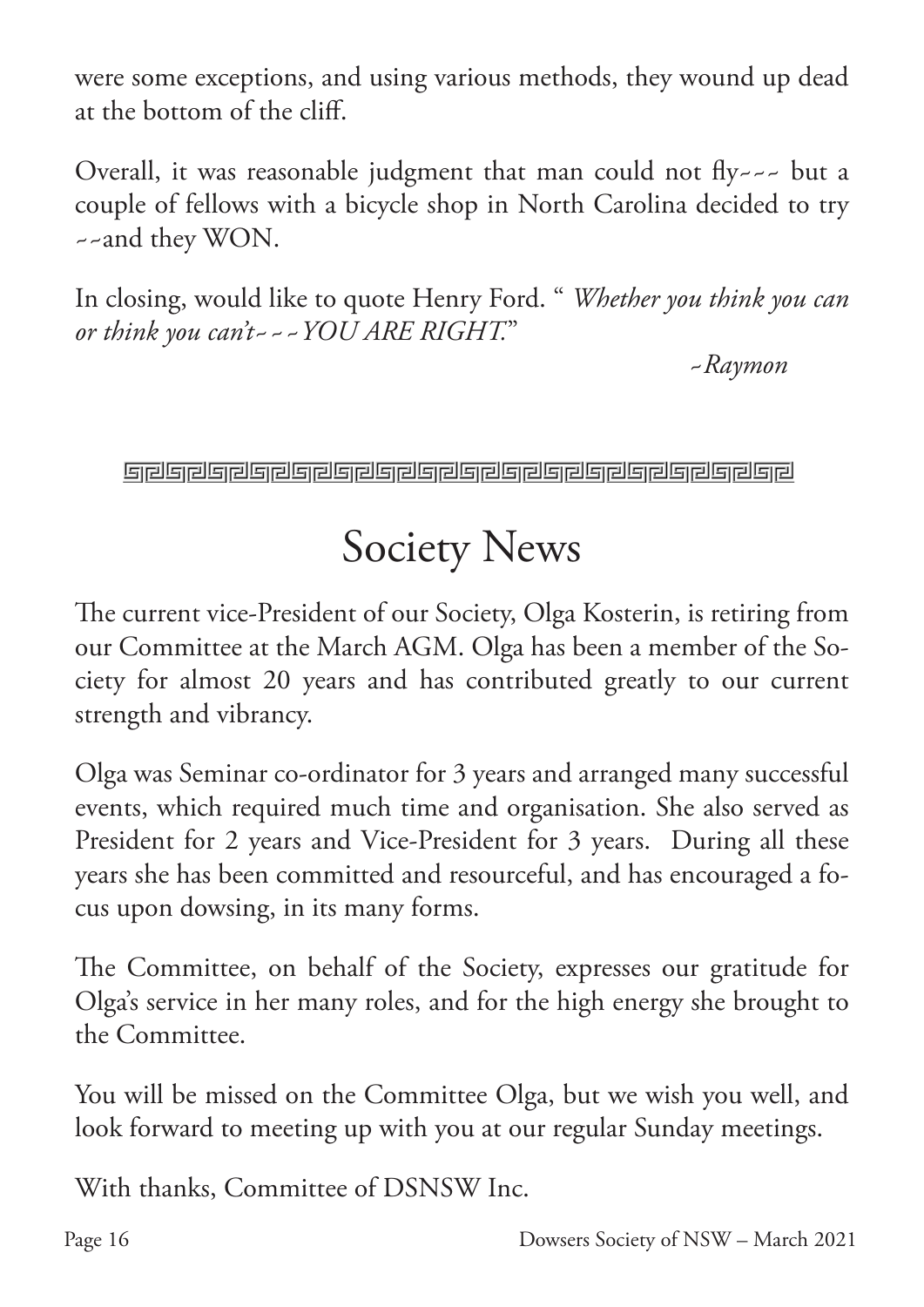were some exceptions, and using various methods, they wound up dead at the bottom of the cliff.

Overall, it was reasonable judgment that man could not fly--- but a couple of fellows with a bicycle shop in North Carolina decided to try ~~and they WON.

In closing, would like to quote Henry Ford. " *Whether you think you can or think you can't~~~YOU ARE RIGHT.*"

~*Raymon*

**Gradual Schauer and Schauer and Schauer and Schauer and Schauer and Schauer and Schauer and Schauer and Schauer** 

## Society News

The current vice-President of our Society, Olga Kosterin, is retiring from our Committee at the March AGM. Olga has been a member of the Society for almost 20 years and has contributed greatly to our current strength and vibrancy.

Olga was Seminar co-ordinator for 3 years and arranged many successful events, which required much time and organisation. She also served as President for 2 years and Vice-President for 3 years. During all these years she has been committed and resourceful, and has encouraged a focus upon dowsing, in its many forms.

The Committee, on behalf of the Society, expresses our gratitude for Olga's service in her many roles, and for the high energy she brought to the Committee.

You will be missed on the Committee Olga, but we wish you well, and look forward to meeting up with you at our regular Sunday meetings.

With thanks, Committee of DSNSW Inc.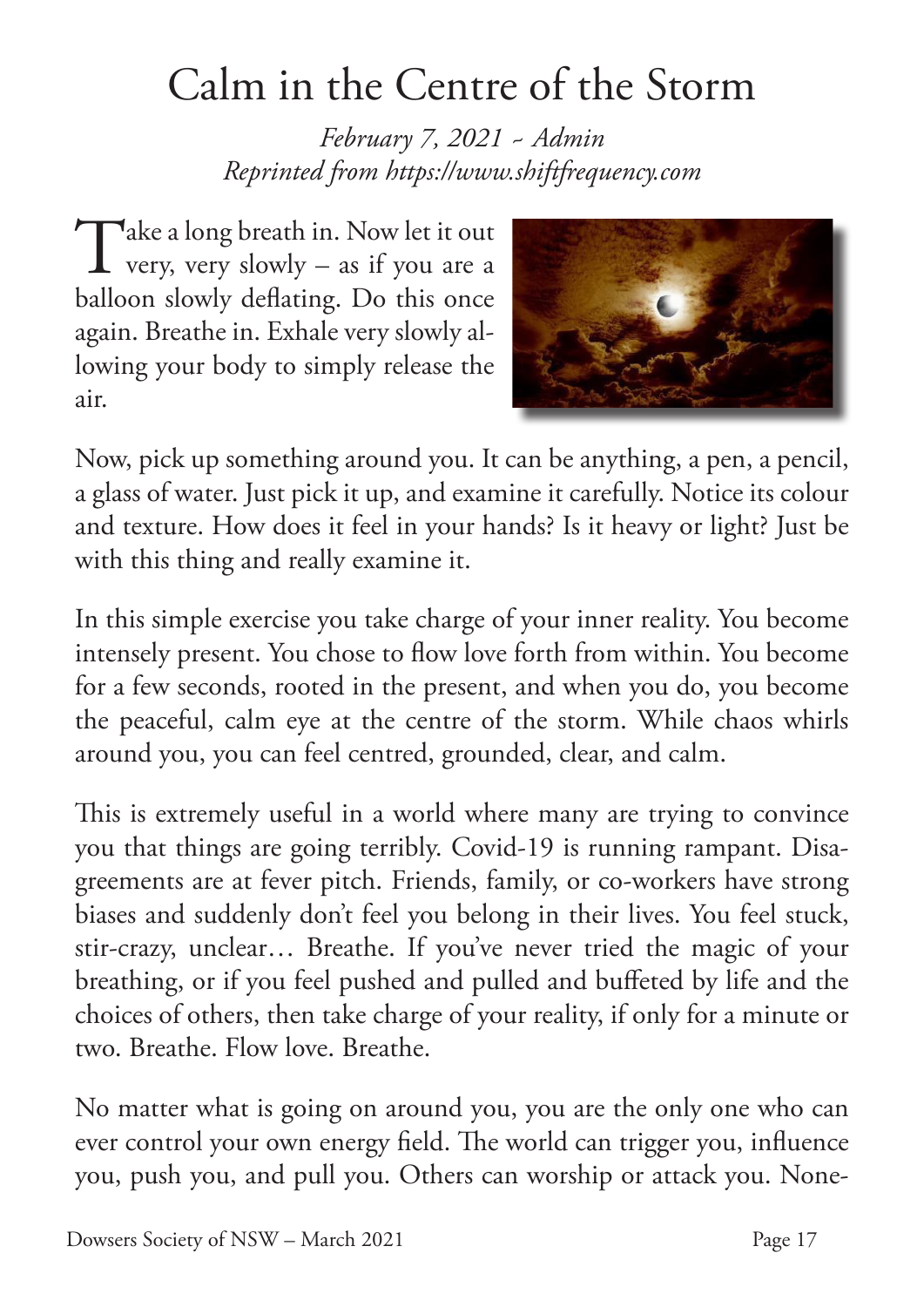# Calm in the Centre of the Storm

*February 7, 2021 ~ Admin Reprinted from https://www.shiftfrequency.com*

Take a long breath in. Now let it out<br>very, very slowly – as if you are a very, very slowly – as if you are a balloon slowly deflating. Do this once again. Breathe in. Exhale very slowly allowing your body to simply release the air.



Now, pick up something around you. It can be anything, a pen, a pencil, a glass of water. Just pick it up, and examine it carefully. Notice its colour and texture. How does it feel in your hands? Is it heavy or light? Just be with this thing and really examine it.

In this simple exercise you take charge of your inner reality. You become intensely present. You chose to flow love forth from within. You become for a few seconds, rooted in the present, and when you do, you become the peaceful, calm eye at the centre of the storm. While chaos whirls around you, you can feel centred, grounded, clear, and calm.

This is extremely useful in a world where many are trying to convince you that things are going terribly. Covid-19 is running rampant. Disagreements are at fever pitch. Friends, family, or co-workers have strong biases and suddenly don't feel you belong in their lives. You feel stuck, stir-crazy, unclear… Breathe. If you've never tried the magic of your breathing, or if you feel pushed and pulled and buffeted by life and the choices of others, then take charge of your reality, if only for a minute or two. Breathe. Flow love. Breathe.

No matter what is going on around you, you are the only one who can ever control your own energy field. The world can trigger you, influence you, push you, and pull you. Others can worship or attack you. None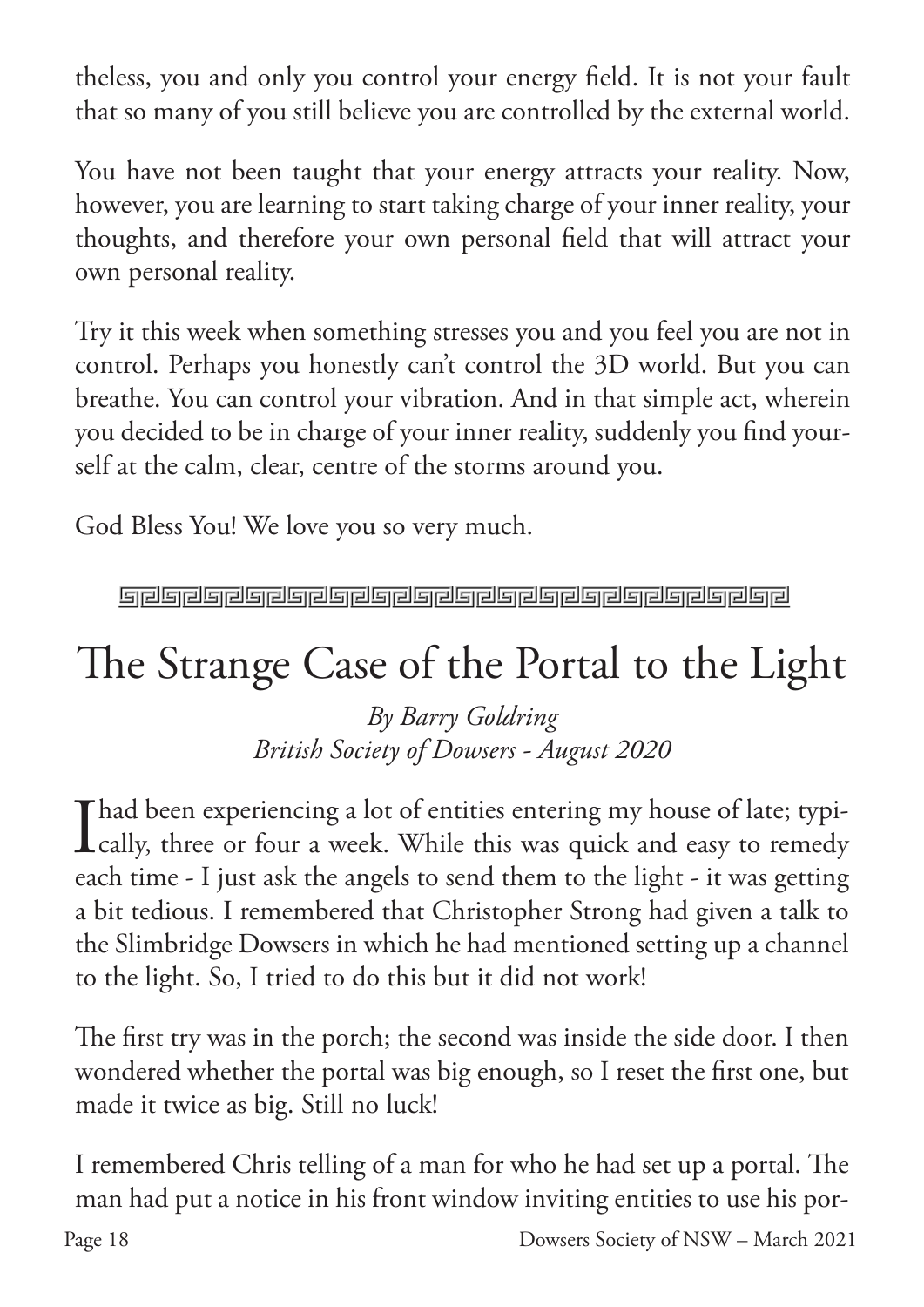theless, you and only you control your energy field. It is not your fault that so many of you still believe you are controlled by the external world.

You have not been taught that your energy attracts your reality. Now, however, you are learning to start taking charge of your inner reality, your thoughts, and therefore your own personal field that will attract your own personal reality.

Try it this week when something stresses you and you feel you are not in control. Perhaps you honestly can't control the 3D world. But you can breathe. You can control your vibration. And in that simple act, wherein you decided to be in charge of your inner reality, suddenly you find yourself at the calm, clear, centre of the storms around you.

God Bless You! We love you so very much.

**Greigreiche Greigreiche Greiferer Ereignehen Ereignehen** 

# The Strange Case of the Portal to the Light

*By Barry Goldring British Society of Dowsers - August 2020*

Thad been experiencing a lot of entities entering my house of late; typi-**L** cally, three or four a week. While this was quick and easy to remedy each time - I just ask the angels to send them to the light - it was getting a bit tedious. I remembered that Christopher Strong had given a talk to the Slimbridge Dowsers in which he had mentioned setting up a channel to the light. So, I tried to do this but it did not work!

The first try was in the porch; the second was inside the side door. I then wondered whether the portal was big enough, so I reset the first one, but made it twice as big. Still no luck!

I remembered Chris telling of a man for who he had set up a portal. The man had put a notice in his front window inviting entities to use his por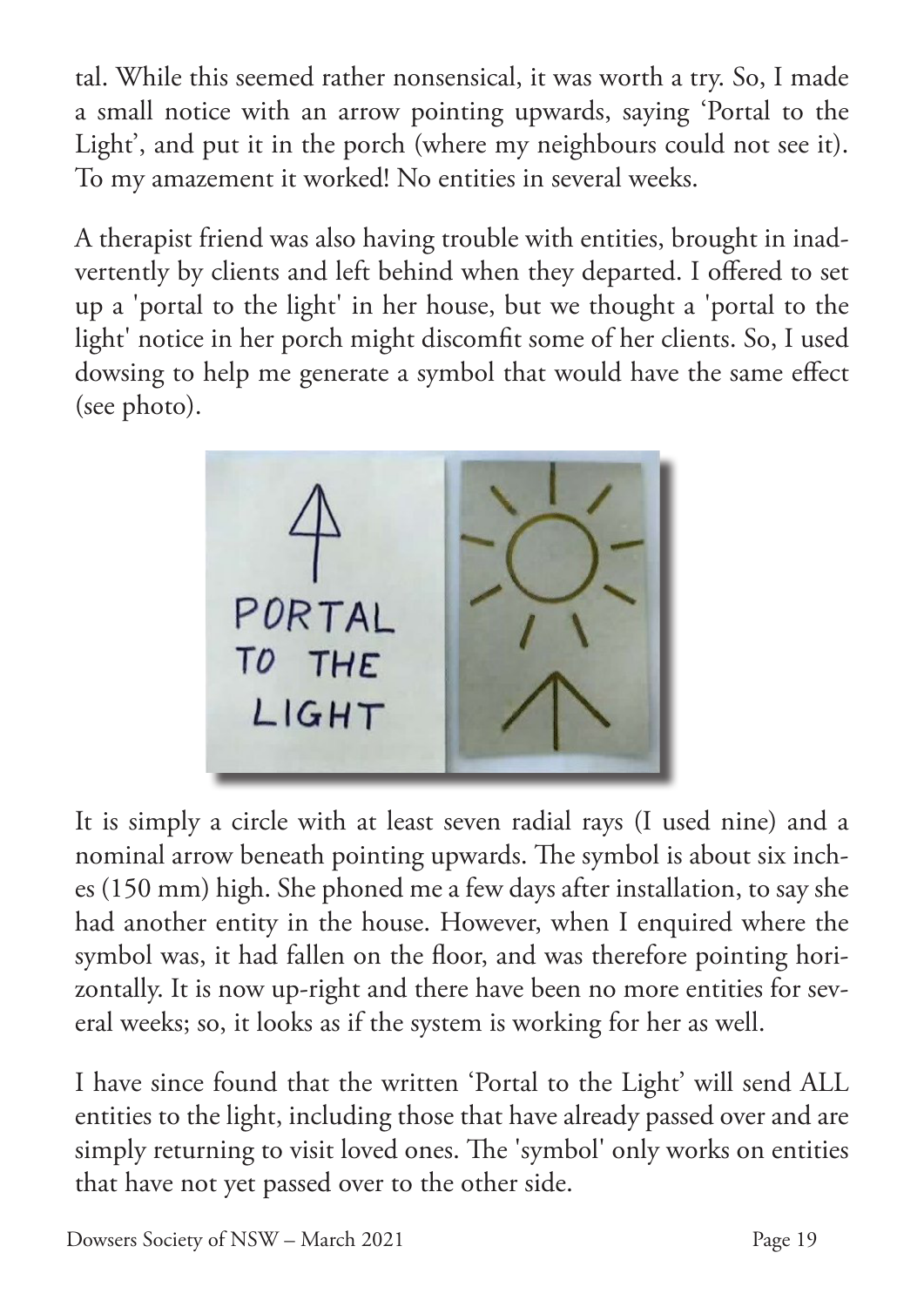tal. While this seemed rather nonsensical, it was worth a try. So, I made a small notice with an arrow pointing upwards, saying 'Portal to the Light', and put it in the porch (where my neighbours could not see it). To my amazement it worked! No entities in several weeks.

A therapist friend was also having trouble with entities, brought in inadvertently by clients and left behind when they departed. I offered to set up a 'portal to the light' in her house, but we thought a 'portal to the light' notice in her porch might discomfit some of her clients. So, I used dowsing to help me generate a symbol that would have the same effect (see photo).



It is simply a circle with at least seven radial rays (I used nine) and a nominal arrow beneath pointing upwards. The symbol is about six inches (150 mm) high. She phoned me a few days after installation, to say she had another entity in the house. However, when I enquired where the symbol was, it had fallen on the floor, and was therefore pointing horizontally. It is now up-right and there have been no more entities for several weeks; so, it looks as if the system is working for her as well.

I have since found that the written 'Portal to the Light' will send ALL entities to the light, including those that have already passed over and are simply returning to visit loved ones. The 'symbol' only works on entities that have not yet passed over to the other side.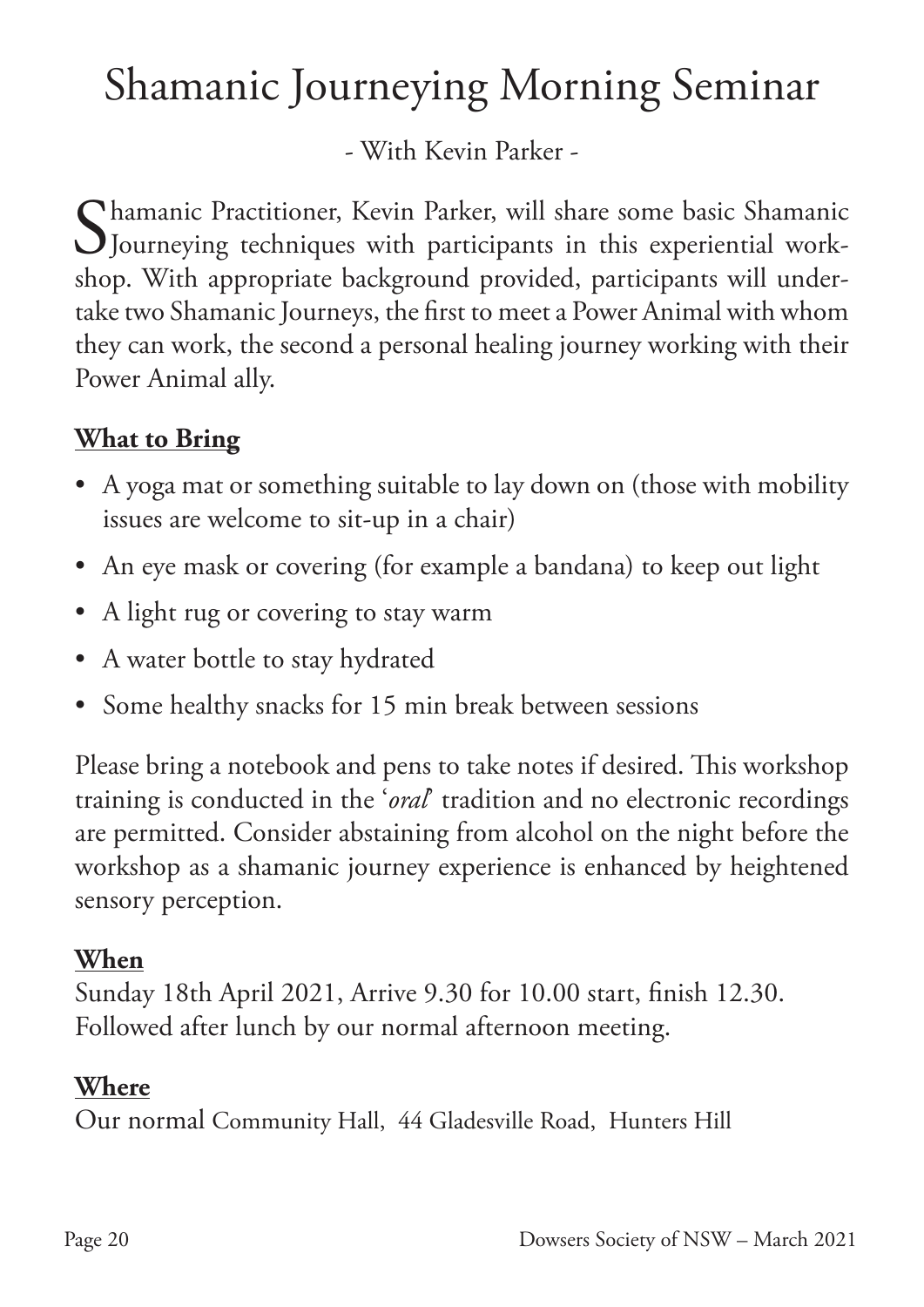# Shamanic Journeying Morning Seminar

- With Kevin Parker -

Chamanic Practitioner, Kevin Parker, will share some basic Shamanic Journeying techniques with participants in this experiential workshop. With appropriate background provided, participants will undertake two Shamanic Journeys, the first to meet a Power Animal with whom they can work, the second a personal healing journey working with their Power Animal ally.

### **What to Bring**

- A yoga mat or something suitable to lay down on (those with mobility issues are welcome to sit-up in a chair)
- An eye mask or covering (for example a bandana) to keep out light
- A light rug or covering to stay warm
- A water bottle to stay hydrated
- Some healthy snacks for 15 min break between sessions

Please bring a notebook and pens to take notes if desired. This workshop training is conducted in the '*oral*' tradition and no electronic recordings are permitted. Consider abstaining from alcohol on the night before the workshop as a shamanic journey experience is enhanced by heightened sensory perception.

### **When**

Sunday 18th April 2021, Arrive 9.30 for 10.00 start, finish 12.30. Followed after lunch by our normal afternoon meeting.

### **Where**

Our normal Community Hall, 44 Gladesville Road, Hunters Hill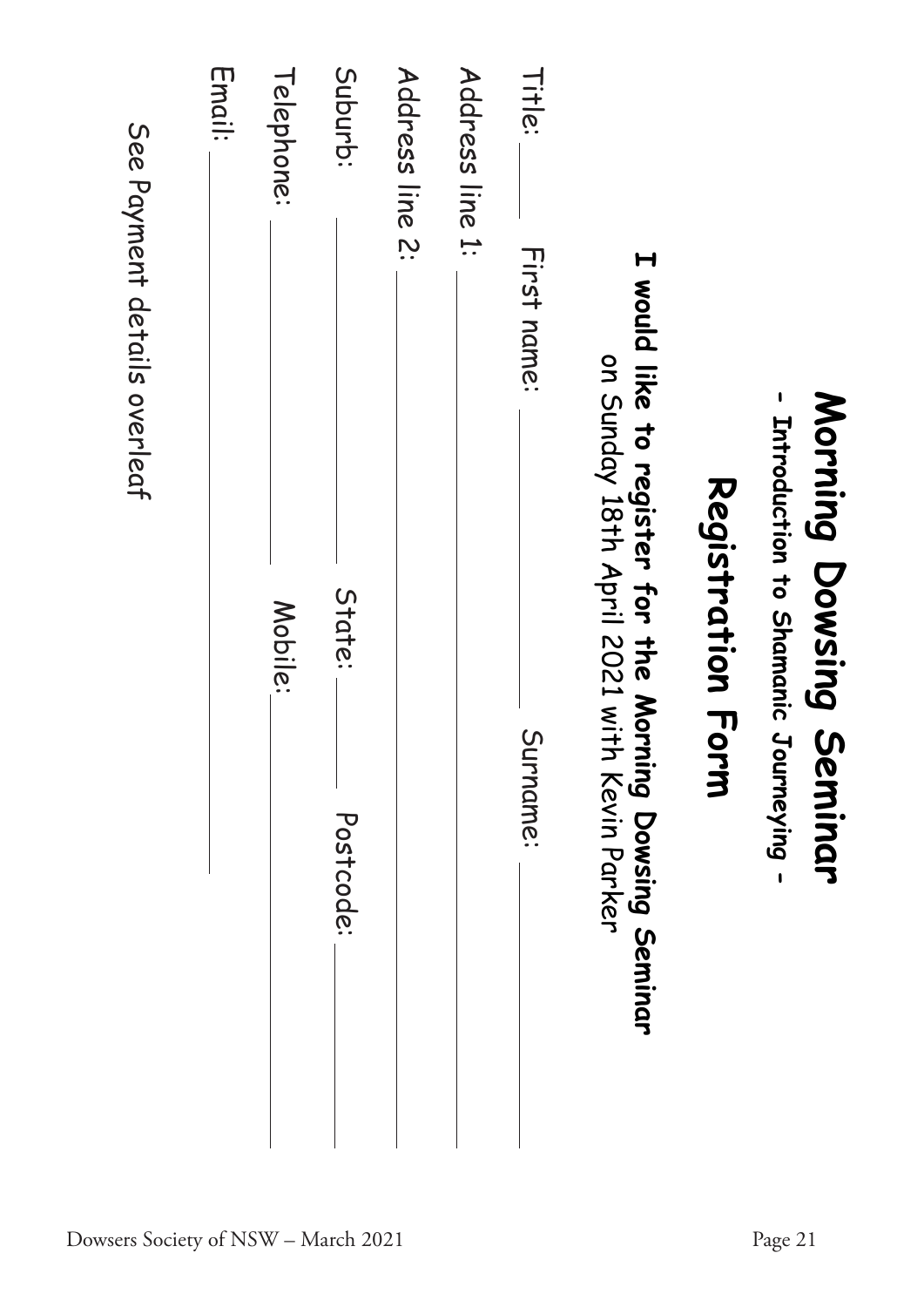|                 | $\mathbf{I}$                           | Morning Dowsing Seminar<br>Introduction to Shamanic Journeying - |                                    | Page 21                             |
|-----------------|----------------------------------------|------------------------------------------------------------------|------------------------------------|-------------------------------------|
|                 |                                        | Registration For                                                 |                                    |                                     |
|                 | I would like to register for the Morni | on Sunday 18th April 2021 with                                   | ng Dowsing Seminar<br>Kevin Parker |                                     |
| Title:          | First name:                            |                                                                  | Surname:                           |                                     |
| Address line 1: |                                        |                                                                  |                                    |                                     |
| Address line 2: |                                        |                                                                  |                                    |                                     |
| Suburb:         |                                        | State:                                                           | Postcode:                          |                                     |
| Telephone:      |                                        | Mobile:                                                          |                                    |                                     |
| Email:          |                                        |                                                                  |                                    |                                     |
|                 | See Payment details overleaf           |                                                                  |                                    | Dowsers Society of NSW - March 2021 |
|                 |                                        |                                                                  |                                    |                                     |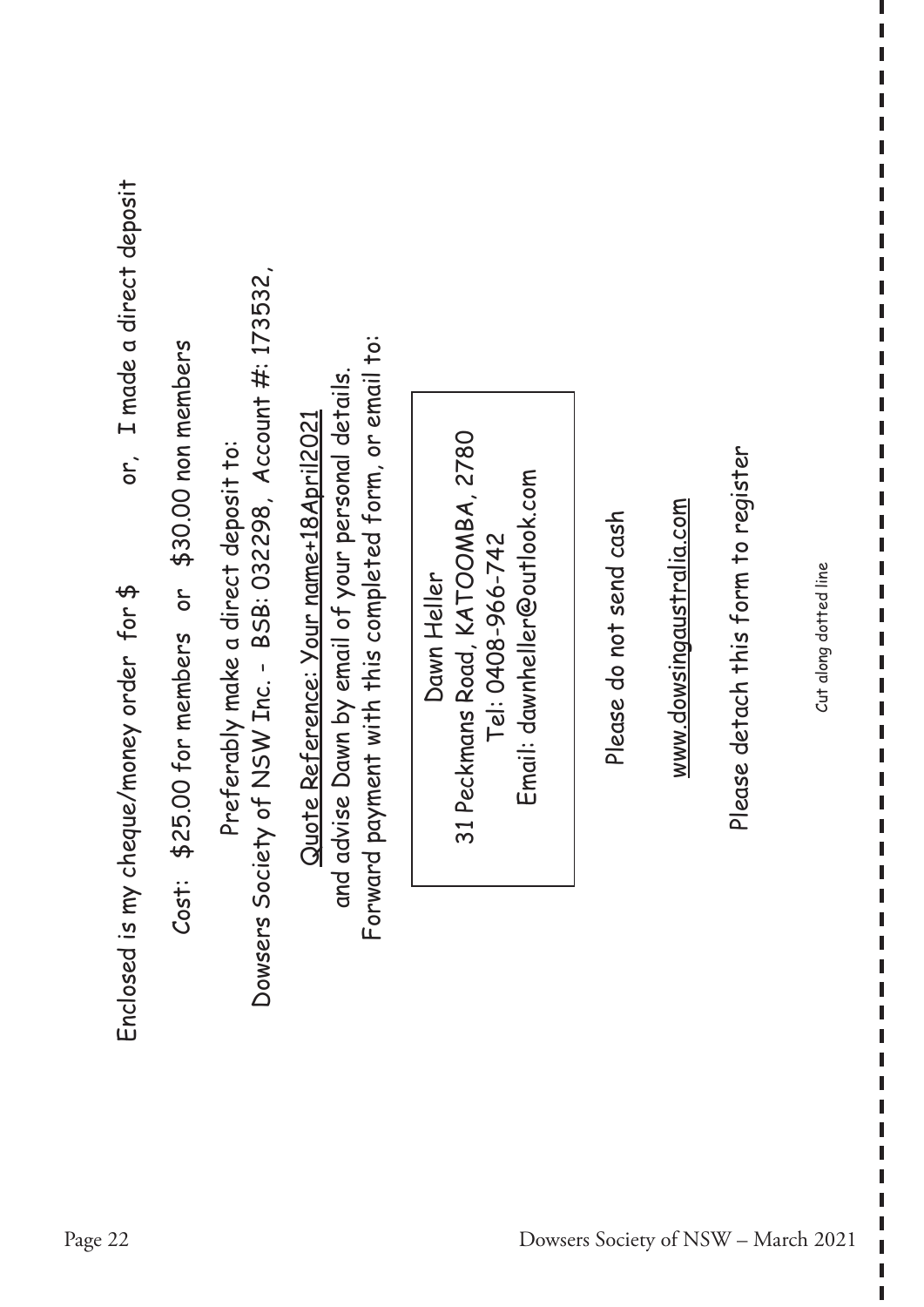| or, I made a direct deposit<br>Enclosed is my cheque/money order for \$ | or \$30.00 non members<br>\$25.00 for members<br>Cost: | iety of NSW Inc. - BSB: 032298, Account #: 173532,<br>Preferably make a direct deposit to:<br>Dowsers Soc | Forward payment with this completed form, or email to:<br>advise Dawn by email of your personal details.<br>Quote Reference: Your name+18April2021<br>and | 31 Peckmans Road, KATOOMBA, 2780<br>Email: dawnheller@outlook.com<br>Tel: 0408-966-742<br>Dawn Heller | Please do not send cash             | www.dowsingaustralia.com | Please detach this form to register | Cut along dotted line |
|-------------------------------------------------------------------------|--------------------------------------------------------|-----------------------------------------------------------------------------------------------------------|-----------------------------------------------------------------------------------------------------------------------------------------------------------|-------------------------------------------------------------------------------------------------------|-------------------------------------|--------------------------|-------------------------------------|-----------------------|
| Page 22                                                                 |                                                        |                                                                                                           |                                                                                                                                                           |                                                                                                       | Dowsers Society of NSW - March 2021 |                          |                                     |                       |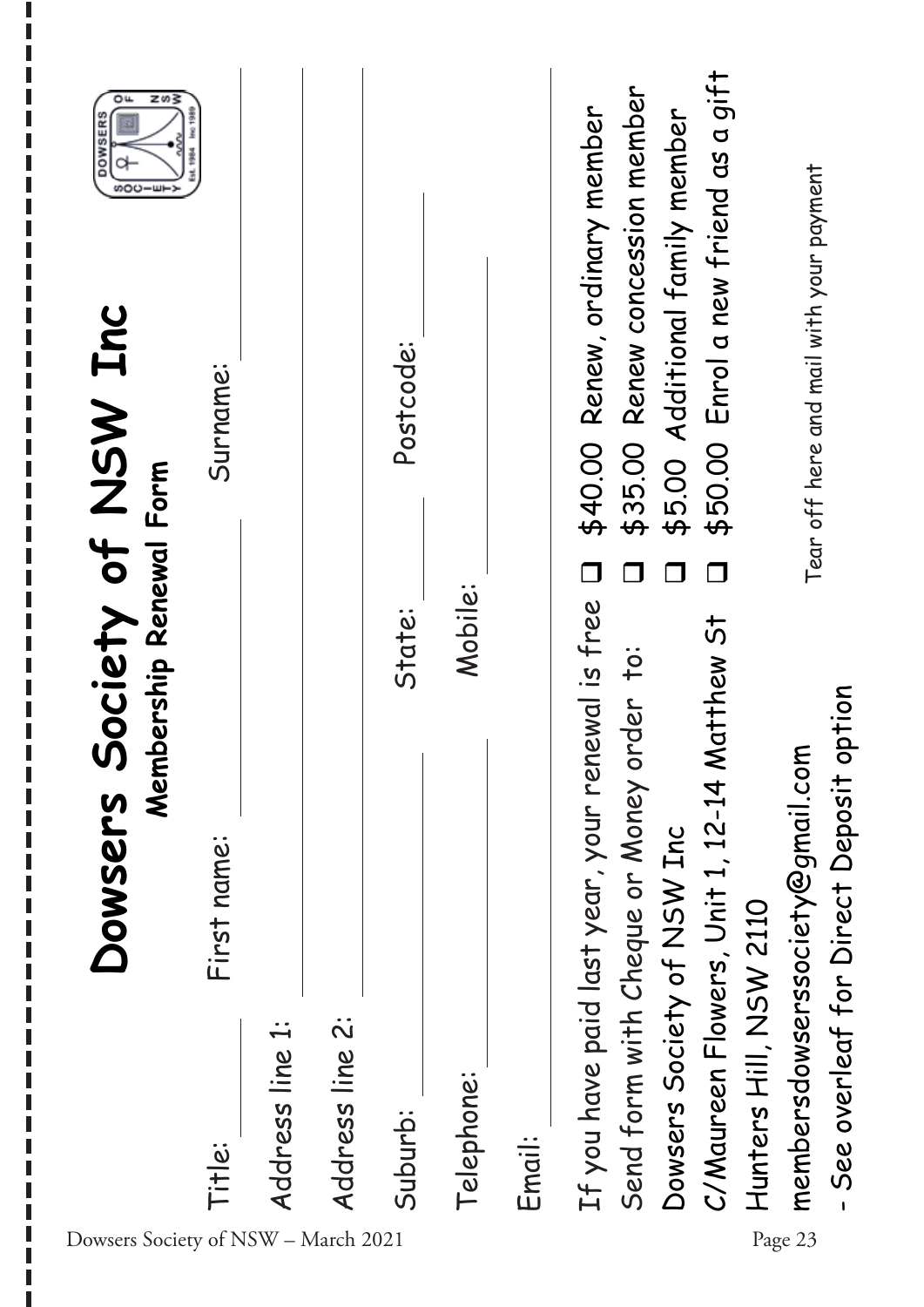| z∽}<br>٥u<br><b>DOWSERS</b><br>ဖာဝပ |             |                 |                 |           |            |        |                                                  |                                              |                                 |                                             |                        |                                          |                                        |
|-------------------------------------|-------------|-----------------|-----------------|-----------|------------|--------|--------------------------------------------------|----------------------------------------------|---------------------------------|---------------------------------------------|------------------------|------------------------------------------|----------------------------------------|
| Society of NSW Inc                  | Surname:    |                 |                 | Postcode: |            |        | \$40.00 Renew, ordinary member                   | \$35.00 Renew concession member              | \$5.00 Additional family member | \$50.00 Enrol a new friend as a gift        |                        | Tear off here and mail with your payment |                                        |
|                                     |             |                 |                 |           |            |        | $\Box$                                           |                                              |                                 |                                             |                        |                                          |                                        |
| Membership Renewal Form<br>Dowsers  | First name: |                 |                 | State:    | Mobile:    |        | If you have paid last year, your renewal is free | rder to:<br>Send form with Cheque or Money o |                                 | C/Maureen Flowers, Unit 1, 12-14 Matthew St |                        | membersdowserssociety@gmail.com          | See overleaf for Direct Deposit option |
| Dowsers Society of NSW - March 2021 | Title:      | Address line 1: | Address line 2: | Suburb:   | Telephone: | Email: |                                                  |                                              | Dowsers Society of NSW Inc      |                                             | Hunters Hill, NSW 2110 | Page 23                                  |                                        |

I I Г П I

ı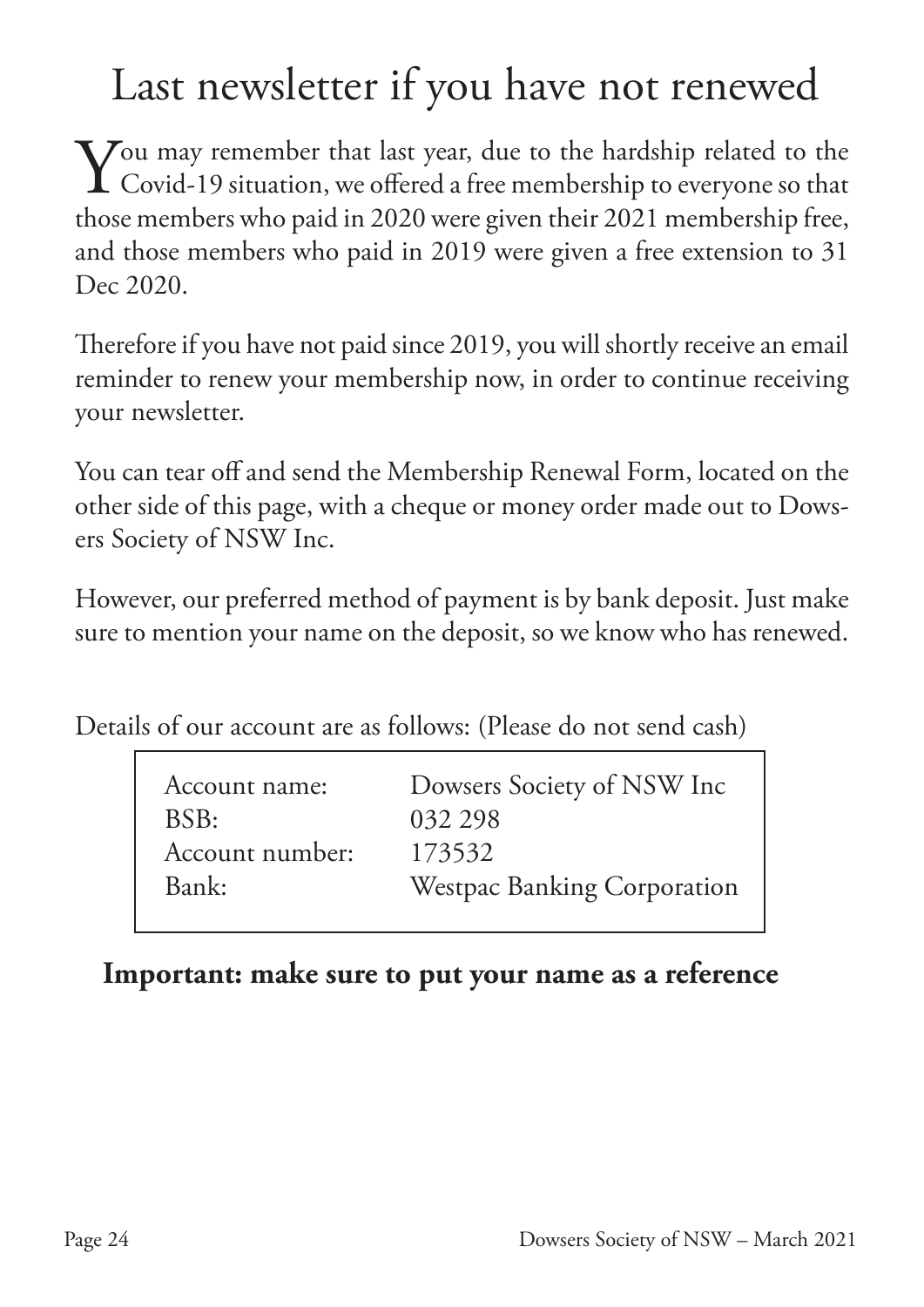# Last newsletter if you have not renewed

 $\sum$  ou may remember that last year, due to the hardship related to the Covid-19 situation, we offered a free membership to everyone so that Covid-19 situation, we offered a free membership to everyone so that those members who paid in 2020 were given their 2021 membership free, and those members who paid in 2019 were given a free extension to 31 Dec 2020.

Therefore if you have not paid since 2019, you will shortly receive an email reminder to renew your membership now, in order to continue receiving your newsletter.

You can tear off and send the Membership Renewal Form, located on the other side of this page, with a cheque or money order made out to Dowsers Society of NSW Inc.

However, our preferred method of payment is by bank deposit. Just make sure to mention your name on the deposit, so we know who has renewed.

Details of our account are as follows: (Please do not send cash)

| Account name:   | Dowsers Society of NSW Inc         |
|-----------------|------------------------------------|
| BSB:            | 032 298                            |
| Account number: | 173532                             |
| Bank:           | <b>Westpac Banking Corporation</b> |

### **Important: make sure to put your name as a reference**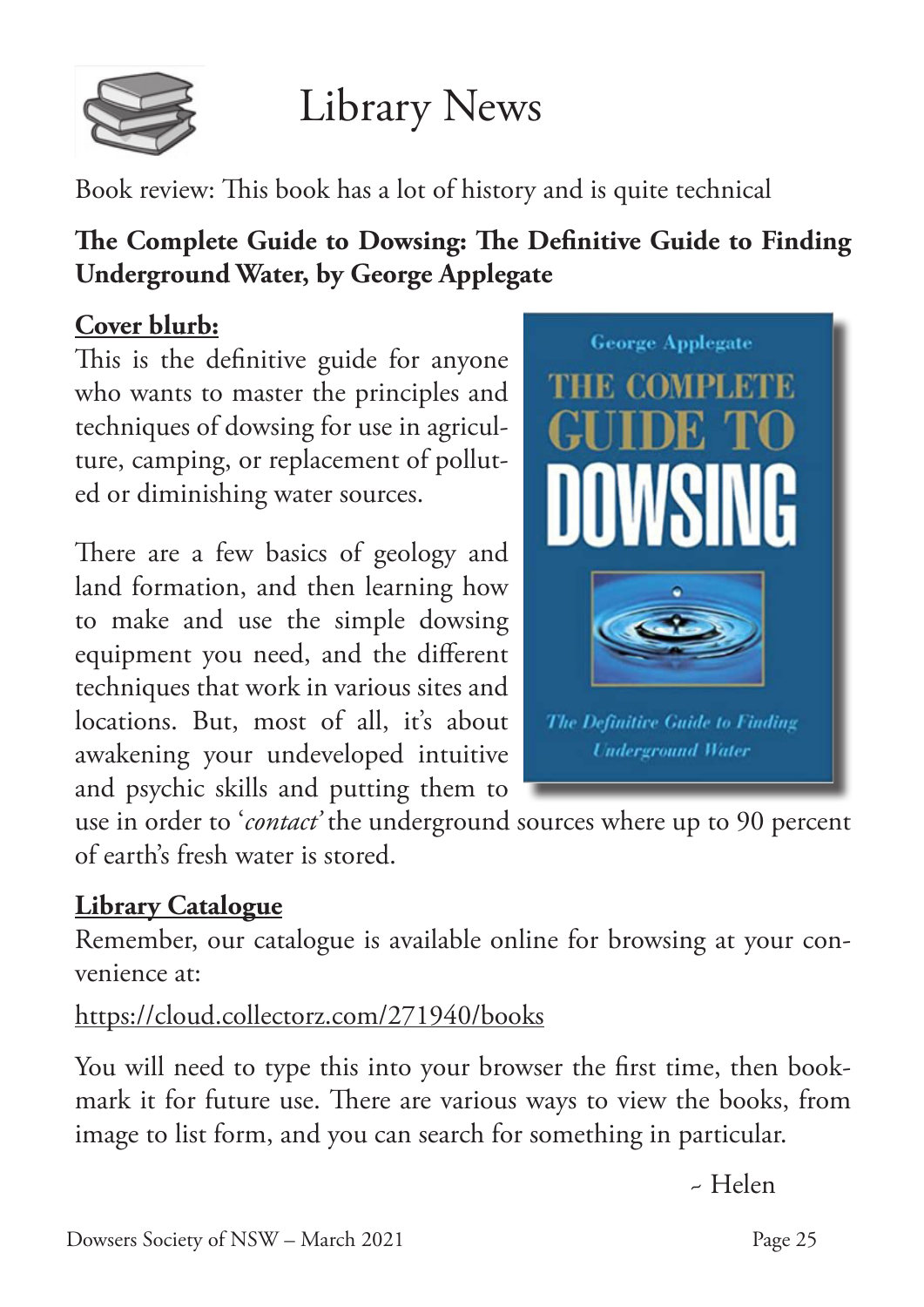

# Library News

Book review: This book has a lot of history and is quite technical

### **The Complete Guide to Dowsing: The Definitive Guide to Finding Underground Water, by George Applegate**

### **Cover blurb:**

This is the definitive guide for anyone who wants to master the principles and techniques of dowsing for use in agriculture, camping, or replacement of polluted or diminishing water sources.

There are a few basics of geology and land formation, and then learning how to make and use the simple dowsing equipment you need, and the different techniques that work in various sites and locations. But, most of all, it's about awakening your undeveloped intuitive and psychic skills and putting them to



use in order to '*contact'* the underground sources where up to 90 percent of earth's fresh water is stored.

### **Library Catalogue**

Remember, our catalogue is available online for browsing at your convenience at:

### https://cloud.collectorz.com/271940/books

You will need to type this into your browser the first time, then bookmark it for future use. There are various ways to view the books, from image to list form, and you can search for something in particular.

~ Helen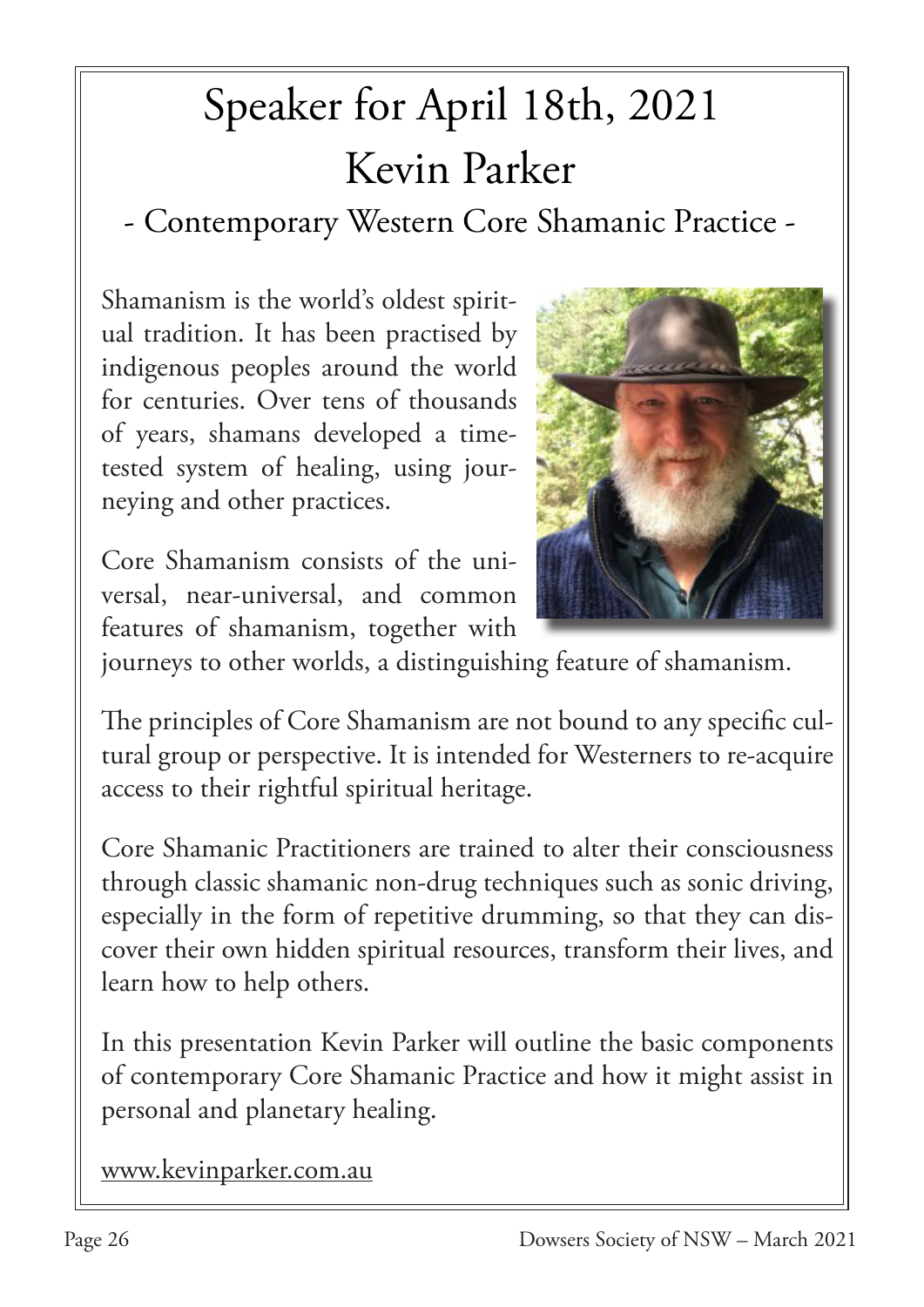# Speaker for April 18th, 2021 Kevin Parker

- Contemporary Western Core Shamanic Practice -

Shamanism is the world's oldest spiritual tradition. It has been practised by indigenous peoples around the world for centuries. Over tens of thousands of years, shamans developed a timetested system of healing, using journeying and other practices.

Core Shamanism consists of the universal, near-universal, and common features of shamanism, together with



journeys to other worlds, a distinguishing feature of shamanism.

The principles of Core Shamanism are not bound to any specific cultural group or perspective. It is intended for Westerners to re-acquire access to their rightful spiritual heritage.

Core Shamanic Practitioners are trained to alter their consciousness through classic shamanic non-drug techniques such as sonic driving, especially in the form of repetitive drumming, so that they can discover their own hidden spiritual resources, transform their lives, and learn how to help others.

In this presentation Kevin Parker will outline the basic components of contemporary Core Shamanic Practice and how it might assist in personal and planetary healing.

www.kevinparker.com.au